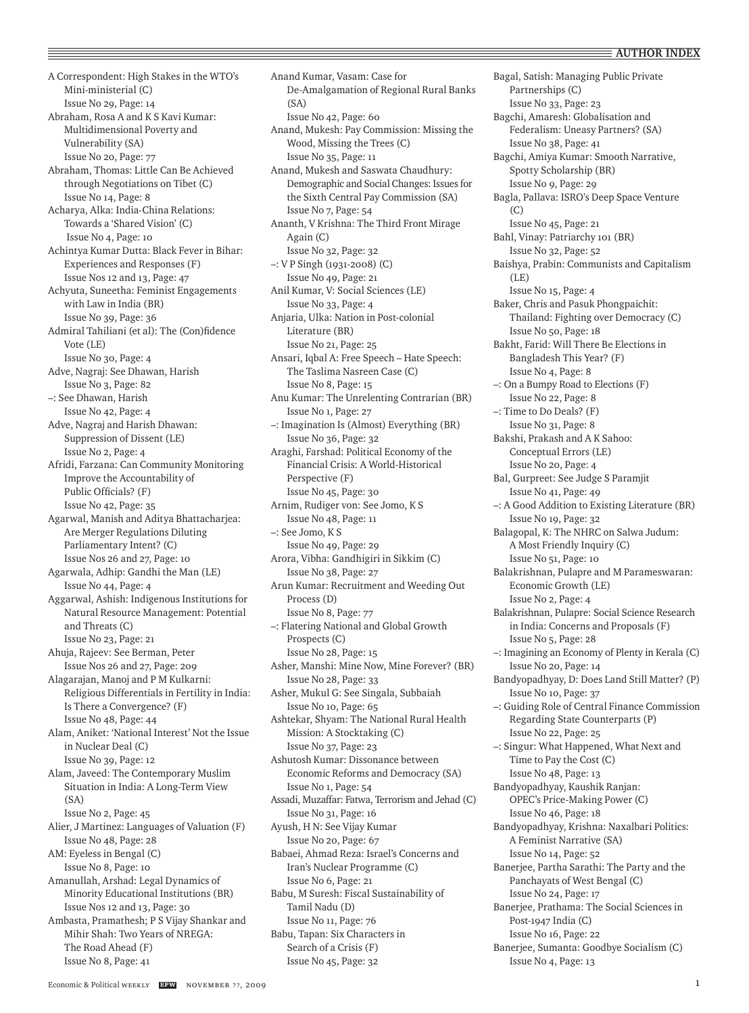A Correspondent: High Stakes in the WTO's Mini-ministerial (C) Issue No 29, Page: 14 Abraham, Rosa A and K S Kavi Kumar: Multidimensional Poverty and Vulnerability (SA) Issue No 20, Page: 77 Abraham, Thomas: Little Can Be Achieved through Negotiations on Tibet (C) Issue No 14, Page: 8 Acharya, Alka: India-China Relations: Towards a 'Shared Vision' (C) Issue No 4, Page: 10 Achintya Kumar Dutta: Black Fever in Bihar: Experiences and Responses (F) Issue Nos 12 and 13, Page: 47 Achyuta, Suneetha: Feminist Engagements with Law in India (BR) Issue No 39, Page: 36 Admiral Tahiliani (et al): The (Con)fidence Vote (LE) Issue No 30, Page: 4 Adve, Nagraj: See Dhawan, Harish Issue No 3, Page: 82 –: See Dhawan, Harish Issue No 42, Page: 4 Adve, Nagraj and Harish Dhawan: Suppression of Dissent (LE) Issue No 2, Page: 4 Afridi, Farzana: Can Community Monitoring Improve the Accountability of Public Officials? (F) Issue No 42, Page: 35 Agarwal, Manish and Aditya Bhattacharjea: Are Merger Regulations Diluting Parliamentary Intent? (C) Issue Nos 26 and 27, Page: 10 Agarwala, Adhip: Gandhi the Man (LE) Issue No 44, Page: 4 Aggarwal, Ashish: Indigenous Institutions for Natural Resource Management: Potential and Threats (C) Issue No 23, Page: 21 Ahuja, Rajeev: See Berman, Peter Issue Nos 26 and 27, Page: 209 Alagarajan, Manoj and P M Kulkarni: Religious Differentials in Fertility in India: Is There a Convergence? (F) Issue No 48, Page: 44 Alam, Aniket: 'National Interest' Not the Issue in Nuclear Deal (C) Issue No 39, Page: 12 Alam, Javeed: The Contemporary Muslim Situation in India: A Long-Term View  $(SA)$ Issue No 2, Page: 45 Alier, J Martinez: Languages of Valuation (F) Issue No 48, Page: 28 AM: Eyeless in Bengal (C) Issue No 8, Page: 10 Amanullah, Arshad: Legal Dynamics of Minority Educational Institutions (BR) Issue Nos 12 and 13, Page: 30 Ambasta, Pramathesh; P S Vijay Shankar and Mihir Shah: Two Years of NREGA: The Road Ahead (F) Issue No 8, Page: 41

Anand Kumar, Vasam: Case for De-Amalgamation of Regional Rural Banks  $(SA)$ Issue No 42, Page: 60 Anand, Mukesh: Pay Commission: Missing the Wood, Missing the Trees (C) Issue No 35, Page: 11 Anand, Mukesh and Saswata Chaudhury: Demographic and Social Changes: Issues for the Sixth Central Pay Commission (SA) Issue No 7, Page: 54 Ananth, V Krishna: The Third Front Mirage Again (C) Issue No 32, Page: 32 –: V P Singh (1931-2008) (C) Issue No 49, Page: 21 Anil Kumar, V: Social Sciences (LE) Issue No 33, Page: 4 Anjaria, Ulka: Nation in Post-colonial Literature (BR) Issue No 21, Page: 25 Ansari, Iqbal A: Free Speech – Hate Speech: The Taslima Nasreen Case (C) Issue No 8, Page: 15 Anu Kumar: The Unrelenting Contrarian (BR) Issue No 1, Page: 27 –: Imagination Is (Almost) Everything (BR) Issue No 36, Page: 32 Araghi, Farshad: Political Economy of the Financial Crisis: A World-Historical Perspective (F) Issue No 45, Page: 30 Arnim, Rudiger von: See Jomo, K S Issue No 48, Page: 11 –: See Jomo, K S Issue No 49, Page: 29 Arora, Vibha: Gandhigiri in Sikkim (C) Issue No 38, Page: 27 Arun Kumar: Recruitment and Weeding Out Process (D) Issue No 8, Page: 77 –: Flatering National and Global Growth Prospects (C) Issue No 28, Page: 15 Asher, Manshi: Mine Now, Mine Forever? (BR) Issue No 28, Page: 33 Asher, Mukul G: See Singala, Subbaiah Issue No 10, Page: 65 Ashtekar, Shyam: The National Rural Health Mission: A Stocktaking (C) Issue No 37, Page: 23 Ashutosh Kumar: Dissonance between Economic Reforms and Democracy (SA) Issue No 1, Page: 54 Assadi, Muzaffar: Fatwa, Terrorism and Jehad (C) Issue No 31, Page: 16 Ayush, H N: See Vijay Kumar Issue No 20, Page: 67 Babaei, Ahmad Reza: Israel's Concerns and Iran's Nuclear Programme (C) Issue No 6, Page: 21 Babu, M Suresh: Fiscal Sustainability of Tamil Nadu (D) Issue No 11, Page: 76 Babu, Tapan: Six Characters in Search of a Crisis (F) Issue No 45, Page: 32

Bagal, Satish: Managing Public Private Partnerships (C) Issue No 33, Page: 23 Bagchi, Amaresh: Globalisation and Federalism: Uneasy Partners? (SA) Issue No 38, Page: 41 Bagchi, Amiya Kumar: Smooth Narrative, Spotty Scholarship (BR) Issue No 9, Page: 29 Bagla, Pallava: ISRO's Deep Space Venture (C) Issue No 45, Page: 21 Bahl, Vinay: Patriarchy 101 (BR) Issue No 32, Page: 52 Baishya, Prabin: Communists and Capitalism  $(I.E)$ Issue No 15, Page: 4 Baker, Chris and Pasuk Phongpaichit: Thailand: Fighting over Democracy (C) Issue No 50, Page: 18 Bakht, Farid: Will There Be Elections in Bangladesh This Year? (F) Issue No 4, Page: 8 –: On a Bumpy Road to Elections (F) Issue No 22, Page: 8 –: Time to Do Deals? (F) Issue No 31, Page: 8 Bakshi, Prakash and A K Sahoo: Conceptual Errors (LE) Issue No 20, Page: 4 Bal, Gurpreet: See Judge S Paramjit Issue No 41, Page: 49 –: A Good Addition to Existing Literature (BR) Issue No 19, Page: 32 Balagopal, K: The NHRC on Salwa Judum: A Most Friendly Inquiry (C) Issue No 51, Page: 10 Balakrishnan, Pulapre and M Parameswaran: Economic Growth (LE) Issue No 2, Page: 4 Balakrishnan, Pulapre: Social Science Research in India: Concerns and Proposals (F) Issue No 5, Page: 28 –: Imagining an Economy of Plenty in Kerala (C) Issue No 20, Page: 14 Bandyopadhyay, D: Does Land Still Matter? (P) Issue No 10, Page: 37 –: Guiding Role of Central Finance Commission Regarding State Counterparts (P) Issue No 22, Page: 25 –: Singur: What Happened, What Next and Time to Pay the Cost (C) Issue No 48, Page: 13 Bandyopadhyay, Kaushik Ranjan: OPEC's Price-Making Power (C) Issue No 46, Page: 18 Bandyopadhyay, Krishna: Naxalbari Politics: A Feminist Narrative (SA) Issue No 14, Page: 52 Banerjee, Partha Sarathi: The Party and the Panchayats of West Bengal (C) Issue No 24, Page: 17 Banerjee, Prathama: The Social Sciences in Post-1947 India (C) Issue No 16, Page: 22 Banerjee, Sumanta: Goodbye Socialism (C) Issue No 4, Page: 13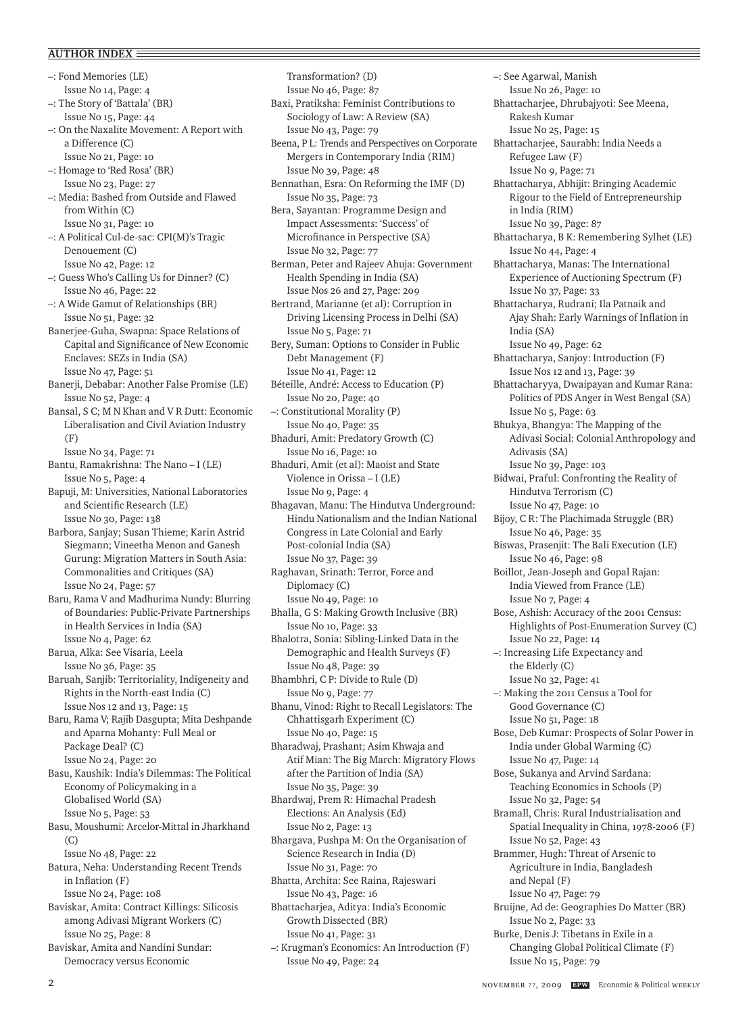–: Fond Memories (LE) Issue No 14, Page: 4 –: The Story of 'Battala' (BR) Issue No 15, Page: 44 –: On the Naxalite Movement: A Report with a Difference (C) Issue No 21, Page: 10 –: Homage to 'Red Rosa' (BR) Issue No 23, Page: 27 –: Media: Bashed from Outside and Flawed from Within (C) Issue No 31, Page: 10 –: A Political Cul-de-sac: CPI(M)'s Tragic Denouement (C) Issue No 42, Page: 12 –: Guess Who's Calling Us for Dinner? (C) Issue No 46, Page: 22 –: A Wide Gamut of Relationships (BR) Issue No 51, Page: 32 Banerjee-Guha, Swapna: Space Relations of Capital and Significance of New Economic Enclaves: SEZs in India (SA) Issue No 47, Page: 51 Banerji, Debabar: Another False Promise (LE) Issue No 52, Page: 4 Bansal, S C; M N Khan and V R Dutt: Economic Liberalisation and Civil Aviation Industry (F) Issue No 34, Page: 71 Bantu, Ramakrishna: The Nano – I (LE) Issue No 5, Page: 4 Bapuji, M: Universities, National Laboratories and Scientific Research (LE) Issue No 30, Page: 138 Barbora, Sanjay; Susan Thieme; Karin Astrid Siegmann; Vineetha Menon and Ganesh Gurung: Migration Matters in South Asia: Commonalities and Critiques (SA) Issue No 24, Page: 57 Baru, Rama V and Madhurima Nundy: Blurring of Boundaries: Public-Private Partnerships in Health Services in India (SA) Issue No 4, Page: 62 Barua, Alka: See Visaria, Leela Issue No 36, Page: 35 Baruah, Sanjib: Territoriality, Indigeneity and Rights in the North-east India (C) Issue Nos 12 and 13, Page: 15 Baru, Rama V; Rajib Dasgupta; Mita Deshpande and Aparna Mohanty: Full Meal or Package Deal? (C) Issue No 24, Page: 20 Basu, Kaushik: India's Dilemmas: The Political Economy of Policymaking in a Globalised World (SA) Issue No 5, Page: 53 Basu, Moushumi: Arcelor-Mittal in Jharkhand (C) Issue No 48, Page: 22 Batura, Neha: Understanding Recent Trends in Inflation (F) Issue No 24, Page: 108 Baviskar, Amita: Contract Killings: Silicosis among Adivasi Migrant Workers (C) Issue No 25, Page: 8 Baviskar, Amita and Nandini Sundar: Democracy versus Economic

Transformation? (D) Issue No 46, Page: 87 Baxi, Pratiksha: Feminist Contributions to Sociology of Law: A Review (SA) Issue No 43, Page: 79 Beena, P L: Trends and Perspectives on Corporate Mergers in Contemporary India (RIM) Issue No 39, Page: 48 Bennathan, Esra: On Reforming the IMF (D) Issue No 35, Page: 73 Bera, Sayantan: Programme Design and Impact Assessments: 'Success' of Microfinance in Perspective (SA) Issue No 32, Page: 77 Berman, Peter and Rajeev Ahuja: Government Health Spending in India (SA) Issue Nos 26 and 27, Page: 209 Bertrand, Marianne (et al): Corruption in Driving Licensing Process in Delhi (SA) Issue No 5, Page: 71 Bery, Suman: Options to Consider in Public Debt Management (F) Issue No 41, Page: 12 Béteille, André: Access to Education (P) Issue No 20, Page: 40 –: Constitutional Morality (P) Issue No 40, Page: 35 Bhaduri, Amit: Predatory Growth (C) Issue No 16, Page: 10 Bhaduri, Amit (et al): Maoist and State Violence in Orissa – I (LE) Issue No 9, Page: 4 Bhagavan, Manu: The Hindutva Underground: Hindu Nationalism and the Indian National Congress in Late Colonial and Early Post-colonial India (SA) Issue No 37, Page: 39 Raghavan, Srinath: Terror, Force and Diplomacy (C) Issue No 49, Page: 10 Bhalla, G S: Making Growth Inclusive (BR) Issue No 10, Page: 33 Bhalotra, Sonia: Sibling-Linked Data in the Demographic and Health Surveys (F) Issue No 48, Page: 39 Bhambhri, C P: Divide to Rule (D) Issue No 9, Page: 77 Bhanu, Vinod: Right to Recall Legislators: The Chhattisgarh Experiment (C) Issue No 40, Page: 15 Bharadwaj, Prashant; Asim Khwaja and Atif Mian: The Big March: Migratory Flows after the Partition of India (SA) Issue No 35, Page: 39 Bhardwaj, Prem R: Himachal Pradesh Elections: An Analysis (Ed) Issue No 2, Page: 13 Bhargava, Pushpa M: On the Organisation of Science Research in India (D) Issue No 31, Page: 70 Bhatta, Archita: See Raina, Rajeswari Issue No 43, Page: 16 Bhattacharjea, Aditya: India's Economic Growth Dissected (BR) Issue No 41, Page: 31 –: Krugman's Economics: An Introduction (F) Issue No 49, Page: 24

–: See Agarwal, Manish Issue No 26, Page: 10 Bhattacharjee, Dhrubajyoti: See Meena, Rakesh Kumar Issue No 25, Page: 15 Bhattacharjee, Saurabh: India Needs a Refugee Law (F) Issue No 9, Page: 71 Bhattacharya, Abhijit: Bringing Academic Rigour to the Field of Entrepreneurship in India (RIM) Issue No 39, Page: 87 Bhattacharya, B K: Remembering Sylhet (LE) Issue No 44, Page: 4 Bhattacharya, Manas: The International Experience of Auctioning Spectrum (F) Issue No 37, Page: 33 Bhattacharya, Rudrani; Ila Patnaik and Ajay Shah: Early Warnings of Inflation in India (SA) Issue No 49, Page: 62 Bhattacharya, Sanjoy: Introduction (F) Issue Nos 12 and 13, Page: 39 Bhattacharyya, Dwaipayan and Kumar Rana: Politics of PDS Anger in West Bengal (SA) Issue No 5, Page: 63 Bhukya, Bhangya: The Mapping of the Adivasi Social: Colonial Anthropology and Adivasis (SA) Issue No 39, Page: 103 Bidwai, Praful: Confronting the Reality of Hindutva Terrorism (C) Issue No 47, Page: 10 Bijoy, C R: The Plachimada Struggle (BR) Issue No 46, Page: 35 Biswas, Prasenjit: The Bali Execution (LE) Issue No 46, Page: 98 Boillot, Jean-Joseph and Gopal Rajan: India Viewed from France (LE) Issue No 7, Page: 4 Bose, Ashish: Accuracy of the 2001 Census: Highlights of Post-Enumeration Survey (C) Issue No 22, Page: 14 –: Increasing Life Expectancy and the Elderly (C) Issue No 32, Page: 41 –: Making the 2011 Census a Tool for Good Governance (C) Issue No 51, Page: 18 Bose, Deb Kumar: Prospects of Solar Power in India under Global Warming (C) Issue No 47, Page: 14 Bose, Sukanya and Arvind Sardana: Teaching Economics in Schools (P) Issue No 32, Page: 54 Bramall, Chris: Rural Industrialisation and Spatial Inequality in China, 1978-2006 (F) Issue No 52, Page: 43 Brammer, Hugh: Threat of Arsenic to Agriculture in India, Bangladesh and Nepal (F) Issue No 47, Page: 79 Bruijne, Ad de: Geographies Do Matter (BR) Issue No 2, Page: 33 Burke, Denis J: Tibetans in Exile in a Changing Global Political Climate (F) Issue No 15, Page: 79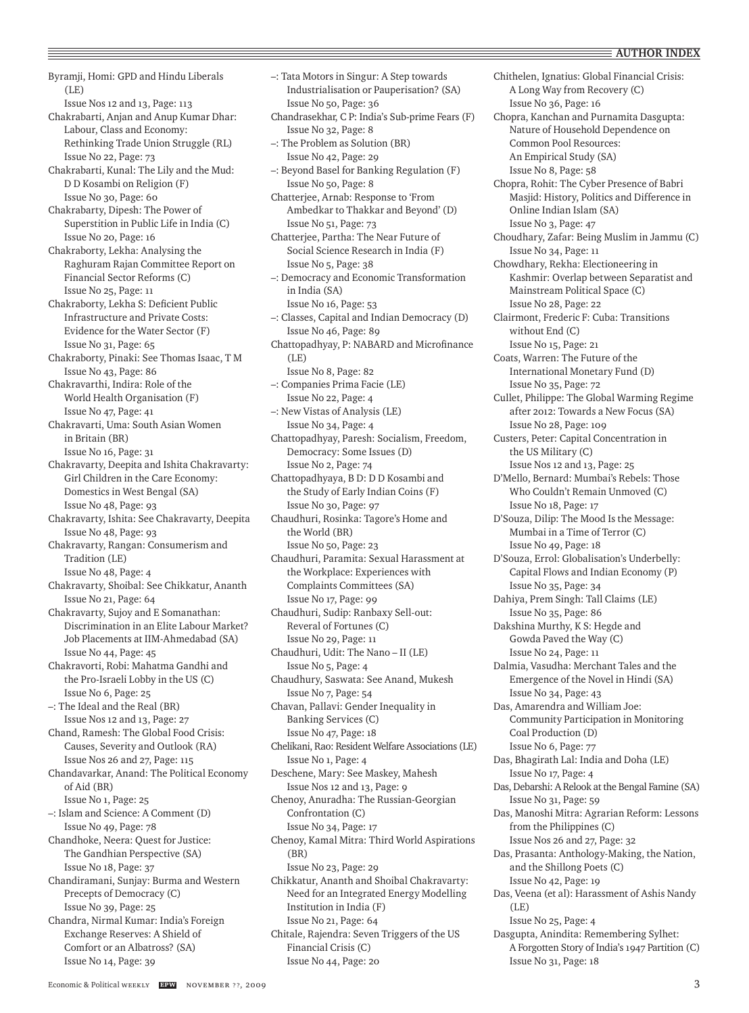Byramji, Homi: GPD and Hindu Liberals (LE) Issue Nos 12 and 13, Page: 113 Chakrabarti, Anjan and Anup Kumar Dhar: Labour, Class and Economy: Rethinking Trade Union Struggle (RL) Issue No 22, Page: 73 Chakrabarti, Kunal: The Lily and the Mud: D D Kosambi on Religion (F) Issue No 30, Page: 60 Chakrabarty, Dipesh: The Power of Superstition in Public Life in India (C) Issue No 20, Page: 16 Chakraborty, Lekha: Analysing the Raghuram Rajan Committee Report on Financial Sector Reforms (C) Issue No 25, Page: 11 Chakraborty, Lekha S: Deficient Public Infrastructure and Private Costs: Evidence for the Water Sector (F) Issue No 31, Page: 65 Chakraborty, Pinaki: See Thomas Isaac, T M Issue No 43, Page: 86 Chakravarthi, Indira: Role of the World Health Organisation (F) Issue No 47, Page: 41 Chakravarti, Uma: South Asian Women in Britain (BR) Issue No 16, Page: 31 Chakravarty, Deepita and Ishita Chakravarty: Girl Children in the Care Economy: Domestics in West Bengal (SA) Issue No 48, Page: 93 Chakravarty, Ishita: See Chakravarty, Deepita Issue No 48, Page: 93 Chakravarty, Rangan: Consumerism and Tradition (LE) Issue No 48, Page: 4 Chakravarty, Shoibal: See Chikkatur, Ananth Issue No 21, Page: 64 Chakravarty, Sujoy and E Somanathan: Discrimination in an Elite Labour Market? Job Placements at IIM-Ahmedabad (SA) Issue No 44, Page: 45 Chakravorti, Robi: Mahatma Gandhi and the Pro-Israeli Lobby in the US (C) Issue No 6, Page: 25 –: The Ideal and the Real (BR) Issue Nos 12 and 13, Page: 27 Chand, Ramesh: The Global Food Crisis: Causes, Severity and Outlook (RA) Issue Nos 26 and 27, Page: 115 Chandavarkar, Anand: The Political Economy of Aid (BR) Issue No 1, Page: 25 –: Islam and Science: A Comment (D) Issue No 49, Page: 78 Chandhoke, Neera: Quest for Justice: The Gandhian Perspective (SA) Issue No 18, Page: 37 Chandiramani, Sunjay: Burma and Western Precepts of Democracy (C) Issue No 39, Page: 25 Chandra, Nirmal Kumar: India's Foreign Exchange Reserves: A Shield of Comfort or an Albatross? (SA) Issue No 14, Page: 39

–: Tata Motors in Singur: A Step towards Industrialisation or Pauperisation? (SA) Issue No 50, Page: 36 Chandrasekhar, C P: India's Sub-prime Fears (F) Issue No 32, Page: 8 –: The Problem as Solution (BR) Issue No 42, Page: 29 –: Beyond Basel for Banking Regulation (F) Issue No 50, Page: 8 Chatterjee, Arnab: Response to 'From Ambedkar to Thakkar and Beyond' (D) Issue No 51, Page: 73 Chatterjee, Partha: The Near Future of Social Science Research in India (F) Issue No 5, Page: 38 –: Democracy and Economic Transformation in India (SA) Issue No 16, Page: 53 –: Classes, Capital and Indian Democracy (D) Issue No 46, Page: 89 Chattopadhyay, P: NABARD and Microfinance (LE) Issue No 8, Page: 82 –: Companies Prima Facie (LE) Issue No 22, Page: 4 –: New Vistas of Analysis (LE) Issue No 34, Page: 4 Chattopadhyay, Paresh: Socialism, Freedom, Democracy: Some Issues (D) Issue No 2, Page: 74 Chattopadhyaya, B D: D D Kosambi and the Study of Early Indian Coins (F) Issue No 30, Page: 97 Chaudhuri, Rosinka: Tagore's Home and the World (BR) Issue No 50, Page: 23 Chaudhuri, Paramita: Sexual Harassment at the Workplace: Experiences with Complaints Committees (SA) Issue No 17, Page: 99 Chaudhuri, Sudip: Ranbaxy Sell-out: Reveral of Fortunes (C) Issue No 29, Page: 11 Chaudhuri, Udit: The Nano – II (LE) Issue No 5, Page: 4 Chaudhury, Saswata: See Anand, Mukesh Issue No 7, Page: 54 Chavan, Pallavi: Gender Inequality in Banking Services (C) Issue No 47, Page: 18 Chelikani, Rao: Resident Welfare Associations (LE) Issue No 1, Page: 4 Deschene, Mary: See Maskey, Mahesh Issue Nos 12 and 13, Page: 9 Chenoy, Anuradha: The Russian-Georgian Confrontation (C) Issue No 34, Page: 17 Chenoy, Kamal Mitra: Third World Aspirations (BR) Issue No 23, Page: 29 Chikkatur, Ananth and Shoibal Chakravarty: Need for an Integrated Energy Modelling Institution in India (F) Issue No 21, Page: 64 Chitale, Rajendra: Seven Triggers of the US Financial Crisis (C) Issue No 44, Page: 20

Chithelen, Ignatius: Global Financial Crisis: A Long Way from Recovery (C) Issue No 36, Page: 16 Chopra, Kanchan and Purnamita Dasgupta: Nature of Household Dependence on Common Pool Resources: An Empirical Study (SA) Issue No 8, Page: 58 Chopra, Rohit: The Cyber Presence of Babri Masjid: History, Politics and Difference in Online Indian Islam (SA) Issue No 3, Page: 47 Choudhary, Zafar: Being Muslim in Jammu (C) Issue No 34, Page: 11 Chowdhary, Rekha: Electioneering in Kashmir: Overlap between Separatist and Mainstream Political Space (C) Issue No 28, Page: 22 Clairmont, Frederic F: Cuba: Transitions without End (C) Issue No 15, Page: 21 Coats, Warren: The Future of the International Monetary Fund (D) Issue No 35, Page: 72 Cullet, Philippe: The Global Warming Regime after 2012: Towards a New Focus (SA) Issue No 28, Page: 109 Custers, Peter: Capital Concentration in the US Military (C) Issue Nos 12 and 13, Page: 25 D'Mello, Bernard: Mumbai's Rebels: Those Who Couldn't Remain Unmoved (C) Issue No 18, Page: 17 D'Souza, Dilip: The Mood Is the Message: Mumbai in a Time of Terror (C) Issue No 49, Page: 18 D'Souza, Errol: Globalisation's Underbelly: Capital Flows and Indian Economy (P) Issue No 35, Page: 34 Dahiya, Prem Singh: Tall Claims (LE) Issue No 35, Page: 86 Dakshina Murthy, K S: Hegde and Gowda Paved the Way (C) Issue No 24, Page: 11 Dalmia, Vasudha: Merchant Tales and the Emergence of the Novel in Hindi (SA) Issue No 34, Page: 43 Das, Amarendra and William Joe: Community Participation in Monitoring Coal Production (D) Issue No 6, Page: 77 Das, Bhagirath Lal: India and Doha (LE) Issue No 17, Page: 4 Das, Debarshi: A Relook at the Bengal Famine (SA) Issue No 31, Page: 59 Das, Manoshi Mitra: Agrarian Reform: Lessons from the Philippines (C) Issue Nos 26 and 27, Page: 32 Das, Prasanta: Anthology-Making, the Nation, and the Shillong Poets (C) Issue No 42, Page: 19 Das, Veena (et al): Harassment of Ashis Nandy  $(I.E)$ Issue No 25, Page: 4 Dasgupta, Anindita: Remembering Sylhet: A Forgotten Story of India's 1947 Partition (C) Issue No 31, Page: 18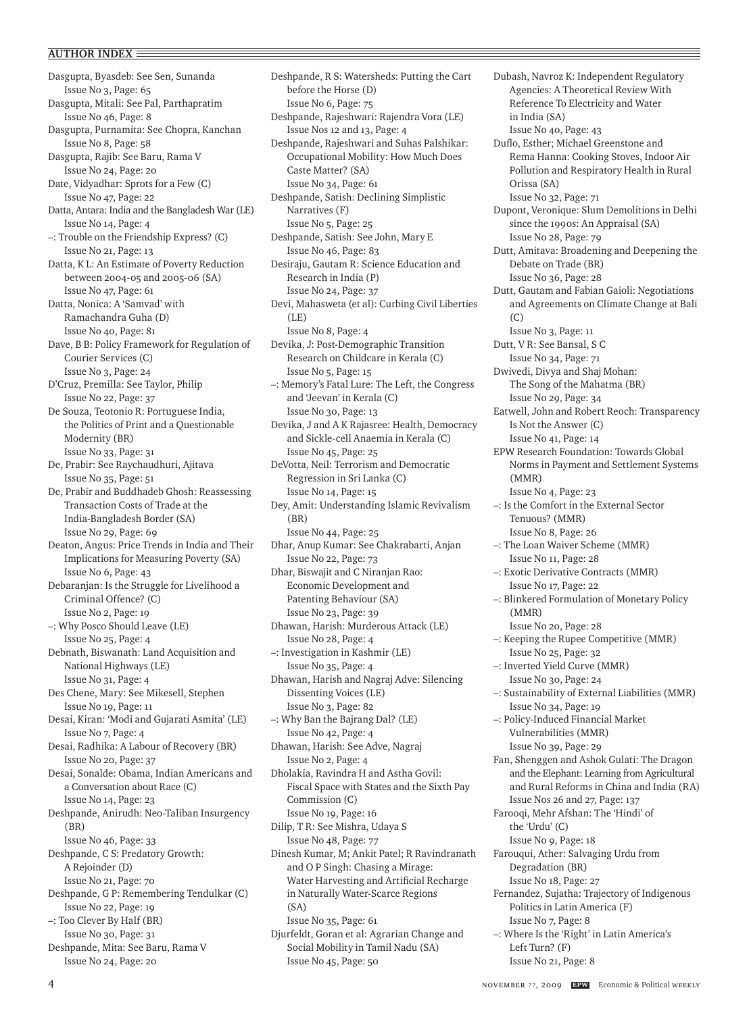Dasgupta, Byasdeb: See Sen, Sunanda Issue No 3, Page: 65 Dasgupta, Mitali: See Pal, Parthapratim Issue No 46, Page: 8 Dasgupta, Purnamita: See Chopra, Kanchan Issue No 8, Page: 58 Dasgupta, Rajib: See Baru, Rama V Issue No 24, Page: 20 Date, Vidyadhar: Sprots for a Few (C) Issue No 47, Page: 22 Datta, Antara: India and the Bangladesh War (LE) Issue No 14, Page: 4 –: Trouble on the Friendship Express? (C) Issue No 21, Page: 13 Datta, K L: An Estimate of Poverty Reduction between 2004-05 and 2005-06 (SA) Issue No 47, Page: 61 Datta, Nonica: A 'Samvad' with Ramachandra Guha (D) Issue No 40, Page: 81 Dave, B B: Policy Framework for Regulation of Courier Services (C) Issue No 3, Page: 24 D'Cruz, Premilla: See Taylor, Philip Issue No 22, Page: 37 De Souza, Teotonio R: Portuguese India, the Politics of Print and a Questionable Modernity (BR) Issue No 33, Page: 31 De, Prabir: See Raychaudhuri, Ajitava Issue No 35, Page: 51 De, Prabir and Buddhadeb Ghosh: Reassessing Transaction Costs of Trade at the India-Bangladesh Border (SA) Issue No 29, Page: 69 Deaton, Angus: Price Trends in India and Their Implications for Measuring Poverty (SA) Issue No 6, Page: 43 Debaranjan: Is the Struggle for Livelihood a Criminal Offence? (C) Issue No 2, Page: 19 –: Why Posco Should Leave (LE) Issue No 25, Page: 4 Debnath, Biswanath: Land Acquisition and National Highways (LE) Issue No 31, Page: 4 Des Chene, Mary: See Mikesell, Stephen Issue No 19, Page: 11 Desai, Kiran: 'Modi and Gujarati Asmita' (LE) Issue No 7, Page: 4 Desai, Radhika: A Labour of Recovery (BR) Issue No 20, Page: 37 Desai, Sonalde: Obama, Indian Americans and a Conversation about Race (C) Issue No 14, Page: 23 Deshpande, Anirudh: Neo-Taliban Insurgency (BR) Issue No 46, Page: 33 Deshpande, C S: Predatory Growth: A Rejoinder (D) Issue No 21, Page: 70 Deshpande, G P: Remembering Tendulkar (C) Issue No 22, Page: 19 –: Too Clever By Half (BR) Issue No 30, Page: 31 Deshpande, Mita: See Baru, Rama V Issue No 24, Page: 20

Deshpande, R S: Watersheds: Putting the Cart before the Horse (D) Issue No 6, Page: 75 Deshpande, Rajeshwari: Rajendra Vora (LE) Issue Nos 12 and 13, Page: 4 Deshpande, Rajeshwari and Suhas Palshikar: Occupational Mobility: How Much Does Caste Matter? (SA) Issue No 34, Page: 61 Deshpande, Satish: Declining Simplistic Narratives (F) Issue No 5, Page: 25 Deshpande, Satish: See John, Mary E Issue No 46, Page: 83 Desiraju, Gautam R: Science Education and Research in India (P) Issue No 24, Page: 37 Devi, Mahasweta (et al): Curbing Civil Liberties  $(LE)$ Issue No 8, Page: 4 Devika, J: Post-Demographic Transition Research on Childcare in Kerala (C) Issue No 5, Page: 15 –: Memory's Fatal Lure: The Left, the Congress and 'Jeevan' in Kerala (C) Issue No 30, Page: 13 Devika, J and A K Rajasree: Health, Democracy and Sickle-cell Anaemia in Kerala (C) Issue No 45, Page: 25 DeVotta, Neil: Terrorism and Democratic Regression in Sri Lanka (C) Issue No 14, Page: 15 Dey, Amit: Understanding Islamic Revivalism (BR) Issue No 44, Page: 25 Dhar, Anup Kumar: See Chakrabarti, Anjan Issue No 22, Page: 73 Dhar, Biswajit and C Niranjan Rao: Economic Development and Patenting Behaviour (SA) Issue No 23, Page: 39 Dhawan, Harish: Murderous Attack (LE) Issue No 28, Page: 4 –: Investigation in Kashmir (LE) Issue No 35, Page: 4 Dhawan, Harish and Nagraj Adve: Silencing Dissenting Voices (LE) Issue No 3, Page: 82 –: Why Ban the Bajrang Dal? (LE) Issue No 42, Page: 4 Dhawan, Harish: See Adve, Nagraj Issue No 2, Page: 4 Dholakia, Ravindra H and Astha Govil: Fiscal Space with States and the Sixth Pay Commission (C) Issue No 19, Page: 16 Dilip, T R: See Mishra, Udaya S Issue No 48, Page: 77 Dinesh Kumar, M; Ankit Patel; R Ravindranath and O P Singh: Chasing a Mirage: Water Harvesting and Artificial Recharge in Naturally Water-Scarce Regions (SA) Issue No 35, Page: 61 Djurfeldt, Goran et al: Agrarian Change and Social Mobility in Tamil Nadu (SA) Issue No 45, Page: 50

Dubash, Navroz K: Independent Regulatory Agencies: A Theoretical Review With Reference To Electricity and Water in India (SA) Issue No 40, Page: 43 Duflo, Esther; Michael Greenstone and Rema Hanna: Cooking Stoves, Indoor Air Pollution and Respiratory Health in Rural Orissa (SA) Issue No 32, Page: 71 Dupont, Veronique: Slum Demolitions in Delhi since the 1990s: An Appraisal (SA) Issue No 28, Page: 79 Dutt, Amitava: Broadening and Deepening the Debate on Trade (BR) Issue No 36, Page: 28 Dutt, Gautam and Fabian Gaioli: Negotiations and Agreements on Climate Change at Bali (C) Issue No 3, Page: 11 Dutt, V R: See Bansal, S C Issue No 34, Page: 71 Dwivedi, Divya and Shaj Mohan: The Song of the Mahatma (BR) Issue No 29, Page: 34 Eatwell, John and Robert Reoch: Transparency Is Not the Answer (C) Issue No 41, Page: 14 EPW Research Foundation: Towards Global Norms in Payment and Settlement Systems (MMR) Issue No 4, Page: 23 –: Is the Comfort in the External Sector Tenuous? (MMR) Issue No 8, Page: 26 –: The Loan Waiver Scheme (MMR) Issue No 11, Page: 28 –: Exotic Derivative Contracts (MMR) Issue No 17, Page: 22 –: Blinkered Formulation of Monetary Policy (MMR) Issue No 20, Page: 28 –: Keeping the Rupee Competitive (MMR) Issue No 25, Page: 32 –: Inverted Yield Curve (MMR) Issue No 30, Page: 24 –: Sustainability of External Liabilities (MMR) Issue No 34, Page: 19 –: Policy-Induced Financial Market Vulnerabilities (MMR) Issue No 39, Page: 29 Fan, Shenggen and Ashok Gulati: The Dragon and the Elephant: Learning from Agricultural and Rural Reforms in China and India (RA) Issue Nos 26 and 27, Page: 137 Farooqi, Mehr Afshan: The 'Hindi' of the 'Urdu' (C) Issue No 9, Page: 18 Farouqui, Ather: Salvaging Urdu from Degradation (BR) Issue No 18, Page: 27 Fernandez, Sujatha: Trajectory of Indigenous Politics in Latin America (F) Issue No 7, Page: 8 –: Where Is the 'Right' in Latin America's Left Turn? (F) Issue No 21, Page: 8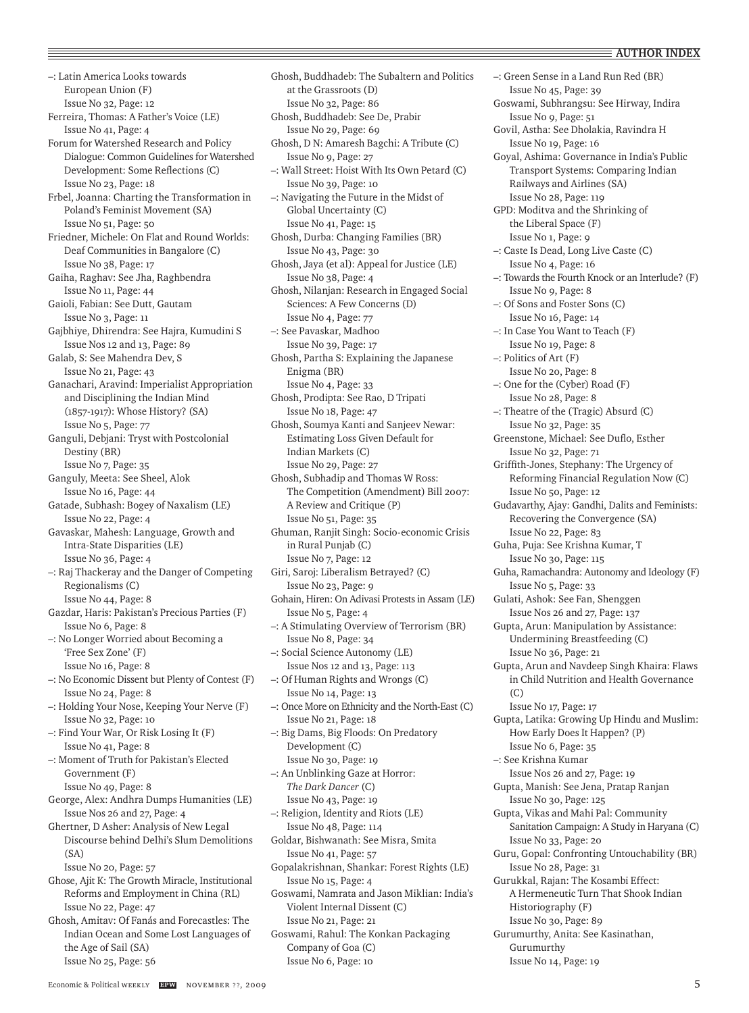–: Latin America Looks towards European Union (F) Issue No 32, Page: 12 Ferreira, Thomas: A Father's Voice (LE) Issue No 41, Page: 4 Forum for Watershed Research and Policy Dialogue: Common Guidelines for Watershed Development: Some Reflections (C) Issue No 23, Page: 18 Frbel, Joanna: Charting the Transformation in Poland's Feminist Movement (SA) Issue No 51, Page: 50 Friedner, Michele: On Flat and Round Worlds: Deaf Communities in Bangalore (C) Issue No 38, Page: 17 Gaiha, Raghav: See Jha, Raghbendra Issue No 11, Page: 44 Gaioli, Fabian: See Dutt, Gautam Issue No 3, Page: 11 Gajbhiye, Dhirendra: See Hajra, Kumudini S Issue Nos 12 and 13, Page: 89 Galab, S: See Mahendra Dev, S Issue No 21, Page: 43 Ganachari, Aravind: Imperialist Appropriation and Disciplining the Indian Mind (1857-1917): Whose History? (SA) Issue No 5, Page: 77 Ganguli, Debjani: Tryst with Postcolonial Destiny (BR) Issue No 7, Page: 35 Ganguly, Meeta: See Sheel, Alok Issue No 16, Page: 44 Gatade, Subhash: Bogey of Naxalism (LE) Issue No 22, Page: 4 Gavaskar, Mahesh: Language, Growth and Intra-State Disparities (LE) Issue No 36, Page: 4 –: Raj Thackeray and the Danger of Competing Regionalisms (C) Issue No 44, Page: 8 Gazdar, Haris: Pakistan's Precious Parties (F) Issue No 6, Page: 8 –: No Longer Worried about Becoming a 'Free Sex Zone' (F) Issue No 16, Page: 8 –: No Economic Dissent but Plenty of Contest (F) Issue No 24, Page: 8 –: Holding Your Nose, Keeping Your Nerve (F) Issue No 32, Page: 10 –: Find Your War, Or Risk Losing It (F) Issue No 41, Page: 8 –: Moment of Truth for Pakistan's Elected Government (F) Issue No 49, Page: 8 George, Alex: Andhra Dumps Humanities (LE) Issue Nos 26 and 27, Page: 4 Ghertner, D Asher: Analysis of New Legal Discourse behind Delhi's Slum Demolitions (SA) Issue No 20, Page: 57 Ghose, Ajit K: The Growth Miracle, Institutional Reforms and Employment in China (RL) Issue No 22, Page: 47 Ghosh, Amitav: Of Fanás and Forecastles: The Indian Ocean and Some Lost Languages of the Age of Sail (SA) Issue No 25, Page: 56

Ghosh, Buddhadeb: The Subaltern and Politics at the Grassroots (D) Issue No 32, Page: 86 Ghosh, Buddhadeb: See De, Prabir Issue No 29, Page: 69 Ghosh, D N: Amaresh Bagchi: A Tribute (C) Issue No 9, Page: 27 –: Wall Street: Hoist With Its Own Petard (C) Issue No 39, Page: 10 –: Navigating the Future in the Midst of Global Uncertainty (C) Issue No 41, Page: 15 Ghosh, Durba: Changing Families (BR) Issue No 43, Page: 30 Ghosh, Jaya (et al): Appeal for Justice (LE) Issue No 38, Page: 4 Ghosh, Nilanjan: Research in Engaged Social Sciences: A Few Concerns (D) Issue No 4, Page: 77 –: See Pavaskar, Madhoo Issue No 39, Page: 17 Ghosh, Partha S: Explaining the Japanese Enigma (BR) Issue No 4, Page: 33 Ghosh, Prodipta: See Rao, D Tripati Issue No 18, Page: 47 Ghosh, Soumya Kanti and Sanjeev Newar: Estimating Loss Given Default for Indian Markets (C) Issue No 29, Page: 27 Ghosh, Subhadip and Thomas W Ross: The Competition (Amendment) Bill 2007: A Review and Critique (P) Issue No 51, Page: 35 Ghuman, Ranjit Singh: Socio-economic Crisis in Rural Punjab (C) Issue No 7, Page: 12 Giri, Saroj: Liberalism Betrayed? (C) Issue No 23, Page: 9 Gohain, Hiren: On Adivasi Protests in Assam (LE) Issue No 5, Page: 4 –: A Stimulating Overview of Terrorism (BR) Issue No 8, Page: 34 –: Social Science Autonomy (LE) Issue Nos 12 and 13, Page: 113 –: Of Human Rights and Wrongs (C) Issue No 14, Page: 13 –: Once More on Ethnicity and the North-East (C) Issue No 21, Page: 18 –: Big Dams, Big Floods: On Predatory Development (C) Issue No 30, Page: 19 –: An Unblinking Gaze at Horror: *The Dark Dancer* (C) Issue No 43, Page: 19 –: Religion, Identity and Riots (LE) Issue No 48, Page: 114 Goldar, Bishwanath: See Misra, Smita Issue No 41, Page: 57 Gopalakrishnan, Shankar: Forest Rights (LE) Issue No 15, Page: 4 Goswami, Namrata and Jason Miklian: India's Violent Internal Dissent (C) Issue No 21, Page: 21 Goswami, Rahul: The Konkan Packaging Company of Goa (C) Issue No 6, Page: 10

–: Green Sense in a Land Run Red (BR) Issue No 45, Page: 39 Goswami, Subhrangsu: See Hirway, Indira Issue No 9, Page: 51 Govil, Astha: See Dholakia, Ravindra H Issue No 19, Page: 16 Goyal, Ashima: Governance in India's Public Transport Systems: Comparing Indian Railways and Airlines (SA) Issue No 28, Page: 119 GPD: Moditva and the Shrinking of the Liberal Space (F) Issue No 1, Page: 9 –: Caste Is Dead, Long Live Caste (C) Issue No 4, Page: 16 –: Towards the Fourth Knock or an Interlude? (F) Issue No 9, Page: 8 –: Of Sons and Foster Sons (C) Issue No 16, Page: 14 –: In Case You Want to Teach (F) Issue No 19, Page: 8 –: Politics of Art (F) Issue No 20, Page: 8 –: One for the (Cyber) Road (F) Issue No 28, Page: 8 –: Theatre of the (Tragic) Absurd (C) Issue No 32, Page: 35 Greenstone, Michael: See Duflo, Esther Issue No 32, Page: 71 Griffith-Jones, Stephany: The Urgency of Reforming Financial Regulation Now (C) Issue No 50, Page: 12 Gudavarthy, Ajay: Gandhi, Dalits and Feminists: Recovering the Convergence (SA) Issue No 22, Page: 83 Guha, Puja: See Krishna Kumar, T Issue No 30, Page: 115 Guha, Ramachandra: Autonomy and Ideology (F) Issue No 5, Page: 33 Gulati, Ashok: See Fan, Shenggen Issue Nos 26 and 27, Page: 137 Gupta, Arun: Manipulation by Assistance: Undermining Breastfeeding (C) Issue No 36, Page: 21 Gupta, Arun and Navdeep Singh Khaira: Flaws in Child Nutrition and Health Governance (C) Issue No 17, Page: 17 Gupta, Latika: Growing Up Hindu and Muslim: How Early Does It Happen? (P) Issue No 6, Page: 35 –: See Krishna Kumar Issue Nos 26 and 27, Page: 19 Gupta, Manish: See Jena, Pratap Ranjan Issue No 30, Page: 125 Gupta, Vikas and Mahi Pal: Community Sanitation Campaign: A Study in Haryana (C) Issue No 33, Page: 20 Guru, Gopal: Confronting Untouchability (BR) Issue No 28, Page: 31 Gurukkal, Rajan: The Kosambi Effect: A Hermeneutic Turn That Shook Indian Historiography (F) Issue No 30, Page: 89 Gurumurthy, Anita: See Kasinathan, Gurumurthy Issue No 14, Page: 19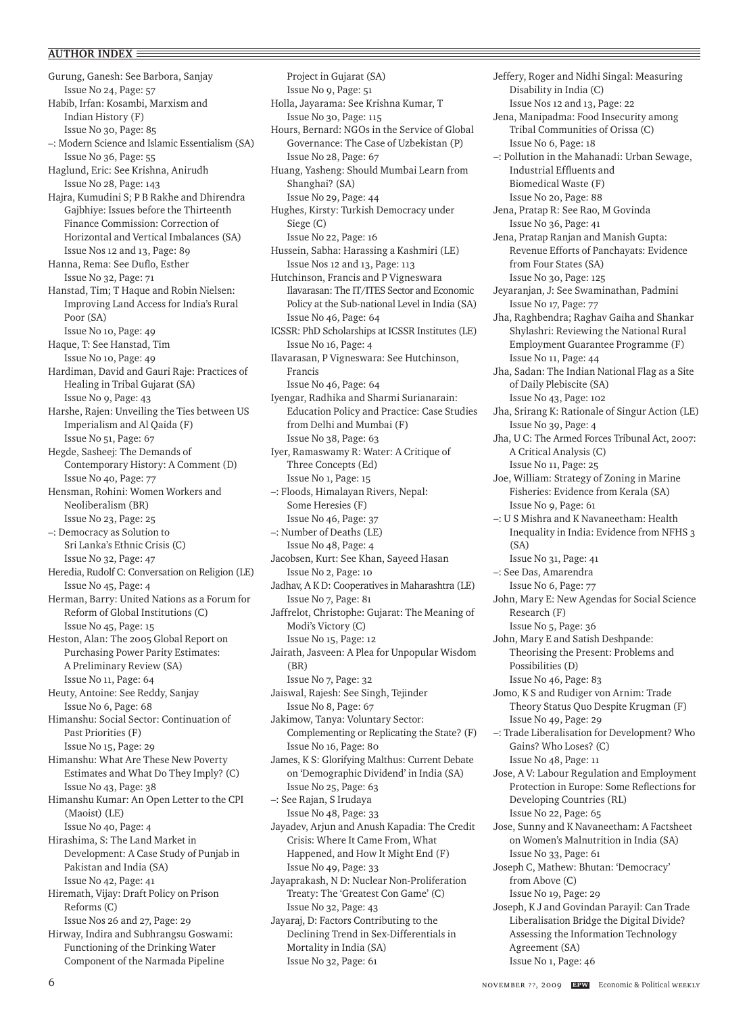Gurung, Ganesh: See Barbora, Sanjay Issue No 24, Page: 57 Habib, Irfan: Kosambi, Marxism and Indian History (F) Issue No 30, Page: 85 –: Modern Science and Islamic Essentialism (SA) Issue No 36, Page: 55 Haglund, Eric: See Krishna, Anirudh Issue No 28, Page: 143 Hajra, Kumudini S; P B Rakhe and Dhirendra Gajbhiye: Issues before the Thirteenth Finance Commission: Correction of Horizontal and Vertical Imbalances (SA) Issue Nos 12 and 13, Page: 89 Hanna, Rema: See Duflo, Esther Issue No 32, Page: 71 Hanstad, Tim; T Haque and Robin Nielsen: Improving Land Access for India's Rural Poor (SA) Issue No 10, Page: 49 Haque, T: See Hanstad, Tim Issue No 10, Page: 49 Hardiman, David and Gauri Raje: Practices of Healing in Tribal Gujarat (SA) Issue No 9, Page: 43 Harshe, Rajen: Unveiling the Ties between US Imperialism and Al Qaida (F) Issue No 51, Page: 67 Hegde, Sasheej: The Demands of Contemporary History: A Comment (D) Issue No 40, Page: 77 Hensman, Rohini: Women Workers and Neoliberalism (BR) Issue No 23, Page: 25 –: Democracy as Solution to Sri Lanka's Ethnic Crisis (C) Issue No 32, Page: 47 Heredia, Rudolf C: Conversation on Religion (LE) Issue No 45, Page: 4 Herman, Barry: United Nations as a Forum for Reform of Global Institutions (C) Issue No 45, Page: 15 Heston, Alan: The 2005 Global Report on Purchasing Power Parity Estimates: A Preliminary Review (SA) Issue No 11, Page: 64 Heuty, Antoine: See Reddy, Sanjay Issue No 6, Page: 68 Himanshu: Social Sector: Continuation of Past Priorities (F) Issue No 15, Page: 29 Himanshu: What Are These New Poverty Estimates and What Do They Imply? (C) Issue No 43, Page: 38 Himanshu Kumar: An Open Letter to the CPI (Maoist) (LE) Issue No 40, Page: 4 Hirashima, S: The Land Market in Development: A Case Study of Punjab in Pakistan and India (SA) Issue No 42, Page: 41 Hiremath, Vijay: Draft Policy on Prison Reforms (C) Issue Nos 26 and 27, Page: 29 Hirway, Indira and Subhrangsu Goswami: Functioning of the Drinking Water Component of the Narmada Pipeline

Project in Gujarat (SA) Issue No 9, Page: 51 Holla, Jayarama: See Krishna Kumar, T Issue No 30, Page: 115 Hours, Bernard: NGOs in the Service of Global Governance: The Case of Uzbekistan (P) Issue No 28, Page: 67 Huang, Yasheng: Should Mumbai Learn from Shanghai? (SA) Issue No 29, Page: 44 Hughes, Kirsty: Turkish Democracy under Siege (C) Issue No 22, Page: 16 Hussein, Sabha: Harassing a Kashmiri (LE) Issue Nos 12 and 13, Page: 113 Hutchinson, Francis and P Vigneswara Ilavarasan: The IT/ITES Sector and Economic Policy at the Sub-national Level in India (SA) Issue No 46, Page: 64 ICSSR: PhD Scholarships at ICSSR Institutes (LE) Issue No 16, Page: 4 Ilavarasan, P Vigneswara: See Hutchinson, Francis Issue No 46, Page: 64 Iyengar, Radhika and Sharmi Surianarain: Education Policy and Practice: Case Studies from Delhi and Mumbai (F) Issue No 38, Page: 63 Iyer, Ramaswamy R: Water: A Critique of Three Concepts (Ed) Issue No 1, Page: 15 –: Floods, Himalayan Rivers, Nepal: Some Heresies (F) Issue No 46, Page: 37 –: Number of Deaths (LE) Issue No 48, Page: 4 Jacobsen, Kurt: See Khan, Sayeed Hasan Issue No 2, Page: 10 Jadhav, A K D: Cooperatives in Maharashtra (LE) Issue No 7, Page: 81 Jaffrelot, Christophe: Gujarat: The Meaning of Modi's Victory (C) Issue No 15, Page: 12 Jairath, Jasveen: A Plea for Unpopular Wisdom (BR) Issue No 7, Page: 32 Jaiswal, Rajesh: See Singh, Tejinder Issue No 8, Page: 67 Jakimow, Tanya: Voluntary Sector: Complementing or Replicating the State? (F) Issue No 16, Page: 80 James, K S: Glorifying Malthus: Current Debate on 'Demographic Dividend' in India (SA) Issue No 25, Page: 63 –: See Rajan, S Irudaya Issue No 48, Page: 33 Jayadev, Arjun and Anush Kapadia: The Credit Crisis: Where It Came From, What Happened, and How It Might End (F) Issue No 49, Page: 33 Jayaprakash, N D: Nuclear Non-Proliferation Treaty: The 'Greatest Con Game' (C) Issue No 32, Page: 43 Jayaraj, D: Factors Contributing to the Declining Trend in Sex-Differentials in Mortality in India (SA) Issue No 32, Page: 61

Jeffery, Roger and Nidhi Singal: Measuring Disability in India (C) Issue Nos 12 and 13, Page: 22 Jena, Manipadma: Food Insecurity among Tribal Communities of Orissa (C) Issue No 6, Page: 18 –: Pollution in the Mahanadi: Urban Sewage, Industrial Effluents and Biomedical Waste (F) Issue No 20, Page: 88 Jena, Pratap R: See Rao, M Govinda Issue No 36, Page: 41 Jena, Pratap Ranjan and Manish Gupta: Revenue Efforts of Panchayats: Evidence from Four States (SA) Issue No 30, Page: 125 Jeyaranjan, J: See Swaminathan, Padmini Issue No 17, Page: 77 Jha, Raghbendra; Raghav Gaiha and Shankar Shylashri: Reviewing the National Rural Employment Guarantee Programme (F) Issue No 11, Page: 44 Jha, Sadan: The Indian National Flag as a Site of Daily Plebiscite (SA) Issue No 43, Page: 102 Jha, Srirang K: Rationale of Singur Action (LE) Issue No 39, Page: 4 Jha, U C: The Armed Forces Tribunal Act, 2007: A Critical Analysis (C) Issue No 11, Page: 25 Joe, William: Strategy of Zoning in Marine Fisheries: Evidence from Kerala (SA) Issue No 9, Page: 61 –: U S Mishra and K Navaneetham: Health Inequality in India: Evidence from NFHS 3 (SA) Issue No 31, Page: 41 –: See Das, Amarendra Issue No 6, Page: 77 John, Mary E: New Agendas for Social Science Research (F) Issue No 5, Page: 36 John, Mary E and Satish Deshpande: Theorising the Present: Problems and Possibilities (D) Issue No 46, Page: 83 Jomo, K S and Rudiger von Arnim: Trade Theory Status Quo Despite Krugman (F) Issue No 49, Page: 29 –: Trade Liberalisation for Development? Who Gains? Who Loses? (C) Issue No 48, Page: 11 Jose, A V: Labour Regulation and Employment Protection in Europe: Some Reflections for Developing Countries (RL) Issue No 22, Page: 65 Jose, Sunny and K Navaneetham: A Factsheet on Women's Malnutrition in India (SA) Issue No 33, Page: 61 Joseph C, Mathew: Bhutan: 'Democracy' from Above (C) Issue No 19, Page: 29 Joseph, K J and Govindan Parayil: Can Trade Liberalisation Bridge the Digital Divide? Assessing the Information Technology Agreement (SA) Issue No 1, Page: 46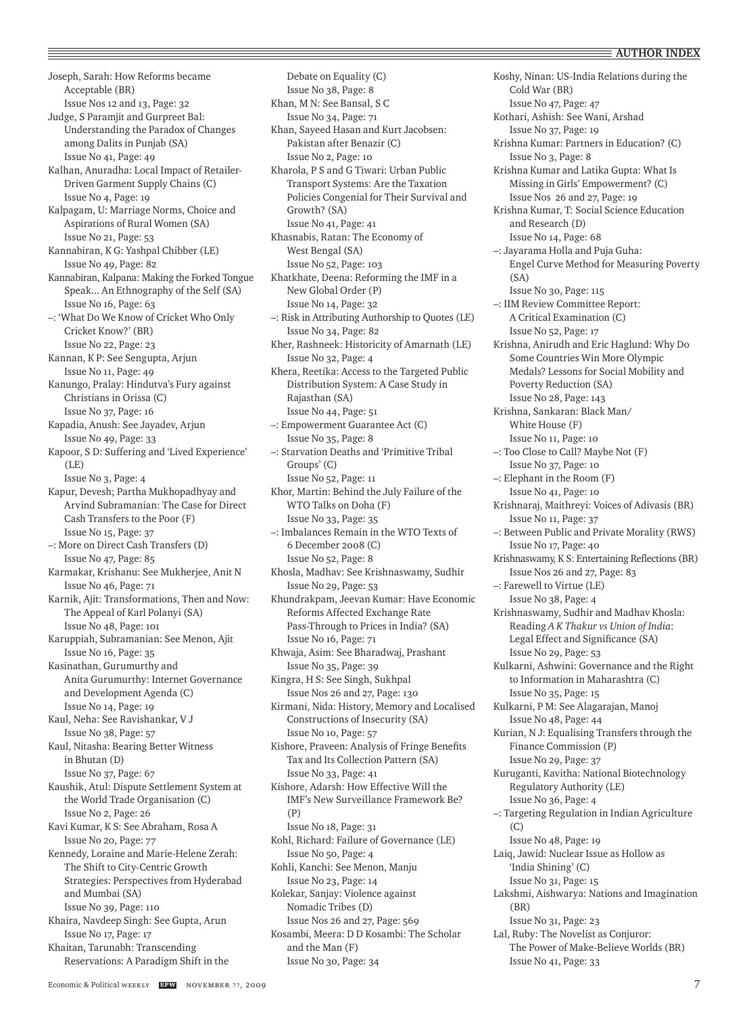Joseph, Sarah: How Reforms became Acceptable (BR) Issue Nos 12 and 13, Page: 32 Judge, S Paramjit and Gurpreet Bal: Understanding the Paradox of Changes among Dalits in Punjab (SA) Issue No 41, Page: 49 Kalhan, Anuradha: Local Impact of Retailer-Driven Garment Supply Chains (C) Issue No 4, Page: 19 Kalpagam, U: Marriage Norms, Choice and Aspirations of Rural Women (SA) Issue No 21, Page: 53 Kannabiran, K G: Yashpal Chibber (LE) Issue No 49, Page: 82 Kannabiran, Kalpana: Making the Forked Tongue Speak... An Ethnography of the Self (SA) Issue No 16, Page: 63 –: 'What Do We Know of Cricket Who Only Cricket Know?' (BR) Issue No 22, Page: 23 Kannan, K P: See Sengupta, Arjun Issue No 11, Page: 49 Kanungo, Pralay: Hindutva's Fury against Christians in Orissa (C) Issue No 37, Page: 16 Kapadia, Anush: See Jayadev, Arjun Issue No 49, Page: 33 Kapoor, S D: Suffering and 'Lived Experience' (LE) Issue No 3, Page: 4 Kapur, Devesh; Partha Mukhopadhyay and Arvind Subramanian: The Case for Direct Cash Transfers to the Poor (F) Issue No 15, Page: 37 –: More on Direct Cash Transfers (D) Issue No 47, Page: 85 Karmakar, Krishanu: See Mukherjee, Anit N Issue No 46, Page: 71 Karnik, Ajit: Transformations, Then and Now: The Appeal of Karl Polanyi (SA) Issue No 48, Page: 101 Karuppiah, Subramanian: See Menon, Ajit Issue No 16, Page: 35 Kasinathan, Gurumurthy and Anita Gurumurthy: Internet Governance and Development Agenda (C) Issue No 14, Page: 19 Kaul, Neha: See Ravishankar, V J Issue No 38, Page: 57 Kaul, Nitasha: Bearing Better Witness in Bhutan (D) Issue No 37, Page: 67 Kaushik, Atul: Dispute Settlement System at the World Trade Organisation (C) Issue No 2, Page: 26 Kavi Kumar, K S: See Abraham, Rosa A Issue No 20, Page: 77 Kennedy, Loraine and Marie-Helene Zerah: The Shift to City-Centric Growth Strategies: Perspectives from Hyderabad and Mumbai (SA) Issue No 39, Page: 110 Khaira, Navdeep Singh: See Gupta, Arun Issue No 17, Page: 17 Khaitan, Tarunabh: Transcending Reservations: A Paradigm Shift in the

Debate on Equality (C) Issue No 38, Page: 8 Khan, M N: See Bansal, S C Issue No 34, Page: 71 Khan, Sayeed Hasan and Kurt Jacobsen: Pakistan after Benazir (C) Issue No 2, Page: 10 Kharola, P S and G Tiwari: Urban Public Transport Systems: Are the Taxation Policies Congenial for Their Survival and Growth? (SA) Issue No 41, Page: 41 Khasnabis, Ratan: The Economy of West Bengal (SA) Issue No 52, Page: 103 Khatkhate, Deena: Reforming the IMF in a New Global Order (P) Issue No 14, Page: 32 –: Risk in Attributing Authorship to Quotes (LE) Issue No 34, Page: 82 Kher, Rashneek: Historicity of Amarnath (LE) Issue No 32, Page: 4 Khera, Reetika: Access to the Targeted Public Distribution System: A Case Study in Rajasthan (SA) Issue No 44, Page: 51 –: Empowerment Guarantee Act (C) Issue No 35, Page: 8 –: Starvation Deaths and 'Primitive Tribal Groups' (C) Issue No 52, Page: 11 Khor, Martin: Behind the July Failure of the WTO Talks on Doha (F) Issue No 33, Page: 35 –: Imbalances Remain in the WTO Texts of 6 December 2008 (C) Issue No 52, Page: 8 Khosla, Madhav: See Krishnaswamy, Sudhir Issue No 29, Page: 53 Khundrakpam, Jeevan Kumar: Have Economic Reforms Affected Exchange Rate Pass-Through to Prices in India? (SA) Issue No 16, Page: 71 Khwaja, Asim: See Bharadwaj, Prashant Issue No 35, Page: 39 Kingra, H S: See Singh, Sukhpal Issue Nos 26 and 27, Page: 130 Kirmani, Nida: History, Memory and Localised Constructions of Insecurity (SA) Issue No 10, Page: 57 Kishore, Praveen: Analysis of Fringe Benefits Tax and Its Collection Pattern (SA) Issue No 33, Page: 41 Kishore, Adarsh: How Effective Will the IMF's New Surveillance Framework Be? (P) Issue No 18, Page: 31 Kohl, Richard: Failure of Governance (LE) Issue No 50, Page: 4 Kohli, Kanchi: See Menon, Manju Issue No 23, Page: 14 Kolekar, Sanjay: Violence against Nomadic Tribes (D) Issue Nos 26 and 27, Page: 569 Kosambi, Meera: D D Kosambi: The Scholar and the Man (F) Issue No 30, Page: 34

Koshy, Ninan: US-India Relations during the Cold War (BR) Issue No 47, Page: 47 Kothari, Ashish: See Wani, Arshad Issue No 37, Page: 19 Krishna Kumar: Partners in Education? (C) Issue No 3, Page: 8 Krishna Kumar and Latika Gupta: What Is Missing in Girls' Empowerment? (C) Issue Nos 26 and 27, Page: 19 Krishna Kumar, T: Social Science Education and Research (D) Issue No 14, Page: 68 –: Jayarama Holla and Puja Guha: Engel Curve Method for Measuring Poverty (SA) Issue No 30, Page: 115 –: IIM Review Committee Report: A Critical Examination (C) Issue No 52, Page: 17 Krishna, Anirudh and Eric Haglund: Why Do Some Countries Win More Olympic Medals? Lessons for Social Mobility and Poverty Reduction (SA) Issue No 28, Page: 143 Krishna, Sankaran: Black Man/ White House (F) Issue No 11, Page: 10 –: Too Close to Call? Maybe Not (F) Issue No 37, Page: 10 –: Elephant in the Room (F) Issue No 41, Page: 10 Krishnaraj, Maithreyi: Voices of Adivasis (BR) Issue No 11, Page: 37 –: Between Public and Private Morality (RWS) Issue No 17, Page: 40 Krishnaswamy, K S: Entertaining Reflections (BR) Issue Nos 26 and 27, Page: 83 –: Farewell to Virtue (LE) Issue No 38, Page: 4 Krishnaswamy, Sudhir and Madhav Khosla: Reading *A K Thakur vs Union of India*: Legal Effect and Significance (SA) Issue No 29, Page: 53 Kulkarni, Ashwini: Governance and the Right to Information in Maharashtra (C) Issue No 35, Page: 15 Kulkarni, P M: See Alagarajan, Manoj Issue No 48, Page: 44 Kurian, N J: Equalising Transfers through the Finance Commission (P) Issue No 29, Page: 37 Kuruganti, Kavitha: National Biotechnology Regulatory Authority (LE) Issue No 36, Page: 4 –: Targeting Regulation in Indian Agriculture  $(C)$ Issue No 48, Page: 19 Laiq, Jawid: Nuclear Issue as Hollow as 'India Shining' (C) Issue No 31, Page: 15 Lakshmi, Aishwarya: Nations and Imagination (BR) Issue No 31, Page: 23 Lal, Ruby: The Novelist as Conjuror: The Power of Make-Believe Worlds (BR) Issue No 41, Page: 33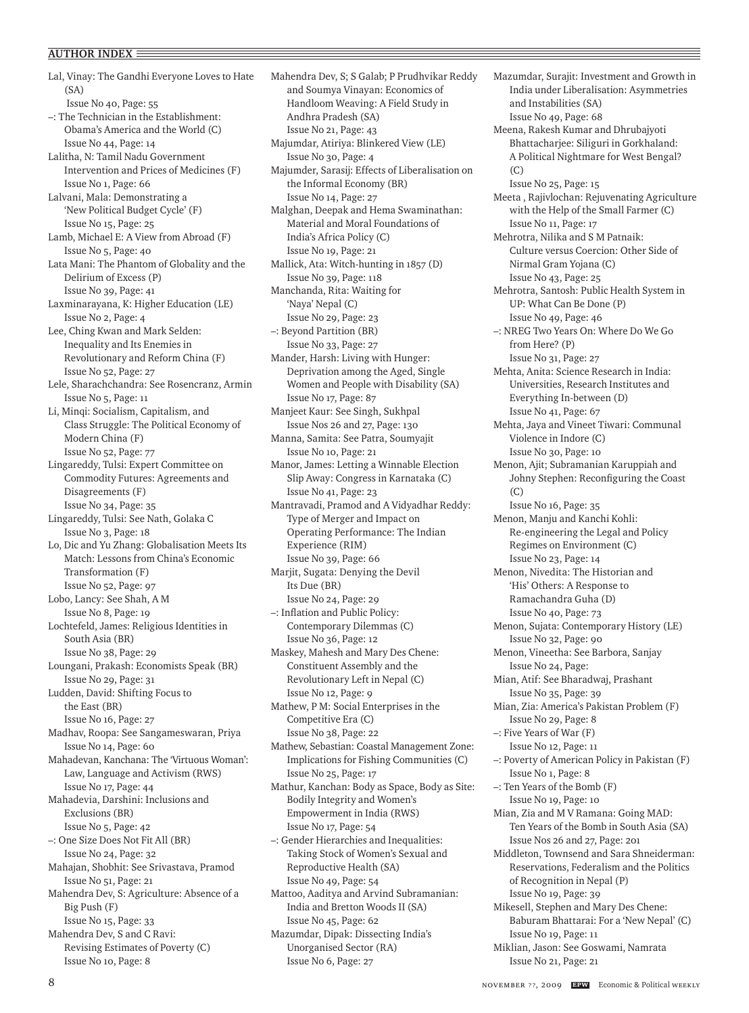Lal, Vinay: The Gandhi Everyone Loves to Hate (SA) Issue No 40, Page: 55 –: The Technician in the Establishment: Obama's America and the World (C) Issue No 44, Page: 14 Lalitha, N: Tamil Nadu Government Intervention and Prices of Medicines (F) Issue No 1, Page: 66 Lalvani, Mala: Demonstrating a 'New Political Budget Cycle' (F) Issue No 15, Page: 25 Lamb, Michael E: A View from Abroad (F) Issue No 5, Page: 40 Lata Mani: The Phantom of Globality and the Delirium of Excess (P) Issue No 39, Page: 41 Laxminarayana, K: Higher Education (LE) Issue No 2, Page: 4 Lee, Ching Kwan and Mark Selden: Inequality and Its Enemies in Revolutionary and Reform China (F) Issue No 52, Page: 27 Lele, Sharachchandra: See Rosencranz, Armin Issue No 5, Page: 11 Li, Minqi: Socialism, Capitalism, and Class Struggle: The Political Economy of Modern China (F) Issue No 52, Page: 77 Lingareddy, Tulsi: Expert Committee on Commodity Futures: Agreements and Disagreements (F) Issue No 34, Page: 35 Lingareddy, Tulsi: See Nath, Golaka C Issue No 3, Page: 18 Lo, Dic and Yu Zhang: Globalisation Meets Its Match: Lessons from China's Economic Transformation (F) Issue No 52, Page: 97 Lobo, Lancy: See Shah, A M Issue No 8, Page: 19 Lochtefeld, James: Religious Identities in South Asia (BR) Issue No 38, Page: 29 Loungani, Prakash: Economists Speak (BR) Issue No 29, Page: 31 Ludden, David: Shifting Focus to the East (BR) Issue No 16, Page: 27 Madhav, Roopa: See Sangameswaran, Priya Issue No 14, Page: 60 Mahadevan, Kanchana: The 'Virtuous Woman': Law, Language and Activism (RWS) Issue No 17, Page: 44 Mahadevia, Darshini: Inclusions and Exclusions (BR) Issue No 5, Page: 42 –: One Size Does Not Fit All (BR) Issue No 24, Page: 32 Mahajan, Shobhit: See Srivastava, Pramod Issue No 51, Page: 21 Mahendra Dev, S: Agriculture: Absence of a Big Push (F) Issue No 15, Page: 33 Mahendra Dev, S and C Ravi: Revising Estimates of Poverty (C) Issue No 10, Page: 8

Mahendra Dev, S; S Galab; P Prudhvikar Reddy and Soumya Vinayan: Economics of Handloom Weaving: A Field Study in Andhra Pradesh (SA) Issue No 21, Page: 43 Majumdar, Atiriya: Blinkered View (LE) Issue No 30, Page: 4 Majumder, Sarasij: Effects of Liberalisation on the Informal Economy (BR) Issue No 14, Page: 27 Malghan, Deepak and Hema Swaminathan: Material and Moral Foundations of India's Africa Policy (C) Issue No 19, Page: 21 Mallick, Ata: Witch-hunting in 1857 (D) Issue No 39, Page: 118 Manchanda, Rita: Waiting for 'Naya' Nepal (C) Issue No 29, Page: 23 –: Beyond Partition (BR) Issue No 33, Page: 27 Mander, Harsh: Living with Hunger: Deprivation among the Aged, Single Women and People with Disability (SA) Issue No 17, Page: 87 Manjeet Kaur: See Singh, Sukhpal Issue Nos 26 and 27, Page: 130 Manna, Samita: See Patra, Soumyajit Issue No 10, Page: 21 Manor, James: Letting a Winnable Election Slip Away: Congress in Karnataka (C) Issue No 41, Page: 23 Mantravadi, Pramod and A Vidyadhar Reddy: Type of Merger and Impact on Operating Performance: The Indian Experience (RIM) Issue No 39, Page: 66 Marjit, Sugata: Denying the Devil Its Due (BR) Issue No 24, Page: 29 –: Inflation and Public Policy: Contemporary Dilemmas (C) Issue No 36, Page: 12 Maskey, Mahesh and Mary Des Chene: Constituent Assembly and the Revolutionary Left in Nepal (C) Issue No 12, Page: 9 Mathew, P M: Social Enterprises in the Competitive Era (C) Issue No 38, Page: 22 Mathew, Sebastian: Coastal Management Zone: Implications for Fishing Communities (C) Issue No 25, Page: 17 Mathur, Kanchan: Body as Space, Body as Site: Bodily Integrity and Women's Empowerment in India (RWS) Issue No 17, Page: 54 –: Gender Hierarchies and Inequalities: Taking Stock of Women's Sexual and Reproductive Health (SA) Issue No 49, Page: 54 Mattoo, Aaditya and Arvind Subramanian: India and Bretton Woods II (SA) Issue No 45, Page: 62 Mazumdar, Dipak: Dissecting India's Unorganised Sector (RA) Issue No 6, Page: 27

Mazumdar, Surajit: Investment and Growth in India under Liberalisation: Asymmetries and Instabilities (SA) Issue No 49, Page: 68 Meena, Rakesh Kumar and Dhrubajyoti Bhattacharjee: Siliguri in Gorkhaland: A Political Nightmare for West Bengal? (C) Issue No 25, Page: 15 Meeta , Rajivlochan: Rejuvenating Agriculture with the Help of the Small Farmer (C) Issue No 11, Page: 17 Mehrotra, Nilika and S M Patnaik: Culture versus Coercion: Other Side of Nirmal Gram Yojana (C) Issue No 43, Page: 25 Mehrotra, Santosh: Public Health System in UP: What Can Be Done (P) Issue No 49, Page: 46 –: NREG Two Years On: Where Do We Go from Here? (P) Issue No 31, Page: 27 Mehta, Anita: Science Research in India: Universities, Research Institutes and Everything In-between (D) Issue No 41, Page: 67 Mehta, Jaya and Vineet Tiwari: Communal Violence in Indore (C) Issue No 30, Page: 10 Menon, Ajit; Subramanian Karuppiah and Johny Stephen: Reconfiguring the Coast (C) Issue No 16, Page: 35 Menon, Manju and Kanchi Kohli: Re-engineering the Legal and Policy Regimes on Environment (C) Issue No 23, Page: 14 Menon, Nivedita: The Historian and 'His' Others: A Response to Ramachandra Guha (D) Issue No 40, Page: 73 Menon, Sujata: Contemporary History (LE) Issue No 32, Page: 90 Menon, Vineetha: See Barbora, Sanjay Issue No 24, Page: Mian, Atif: See Bharadwaj, Prashant Issue No 35, Page: 39 Mian, Zia: America's Pakistan Problem (F) Issue No 29, Page: 8 –: Five Years of War (F) Issue No 12, Page: 11 –: Poverty of American Policy in Pakistan (F) Issue No 1, Page: 8 –: Ten Years of the Bomb (F) Issue No 19, Page: 10 Mian, Zia and M V Ramana: Going MAD: Ten Years of the Bomb in South Asia (SA) Issue Nos 26 and 27, Page: 201 Middleton, Townsend and Sara Shneiderman: Reservations, Federalism and the Politics of Recognition in Nepal (P) Issue No 19, Page: 39 Mikesell, Stephen and Mary Des Chene: Baburam Bhattarai: For a 'New Nepal' (C) Issue No 19, Page: 11 Miklian, Jason: See Goswami, Namrata Issue No 21, Page: 21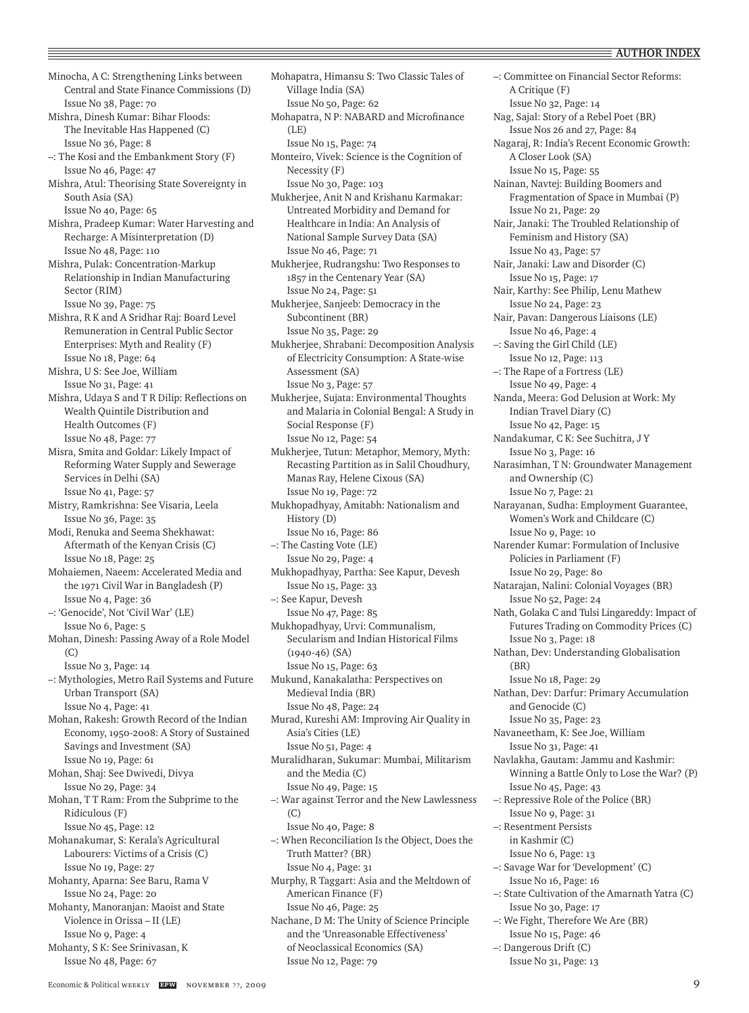Minocha, A C: Strengthening Links between Central and State Finance Commissions (D) Issue No 38, Page: 70 Mishra, Dinesh Kumar: Bihar Floods: The Inevitable Has Happened (C) Issue No 36, Page: 8 –: The Kosi and the Embankment Story (F) Issue No 46, Page: 47 Mishra, Atul: Theorising State Sovereignty in South Asia (SA) Issue No 40, Page: 65 Mishra, Pradeep Kumar: Water Harvesting and Recharge: A Misinterpretation (D) Issue No 48, Page: 110 Mishra, Pulak: Concentration-Markup Relationship in Indian Manufacturing Sector (RIM) Issue No 39, Page: 75 Mishra, R K and A Sridhar Raj: Board Level Remuneration in Central Public Sector Enterprises: Myth and Reality (F) Issue No 18, Page: 64 Mishra, U S: See Joe, William Issue No 31, Page: 41 Mishra, Udaya S and T R Dilip: Reflections on Wealth Quintile Distribution and Health Outcomes (F) Issue No 48, Page: 77 Misra, Smita and Goldar: Likely Impact of Reforming Water Supply and Sewerage Services in Delhi (SA) Issue No 41, Page: 57 Mistry, Ramkrishna: See Visaria, Leela Issue No 36, Page: 35 Modi, Renuka and Seema Shekhawat: Aftermath of the Kenyan Crisis (C) Issue No 18, Page: 25 Mohaiemen, Naeem: Accelerated Media and the 1971 Civil War in Bangladesh (P) Issue No 4, Page: 36 –: 'Genocide', Not 'Civil War' (LE) Issue No 6, Page: 5 Mohan, Dinesh: Passing Away of a Role Model (C) Issue No 3, Page: 14 –: Mythologies, Metro Rail Systems and Future Urban Transport (SA) Issue No 4, Page: 41 Mohan, Rakesh: Growth Record of the Indian Economy, 1950-2008: A Story of Sustained Savings and Investment (SA) Issue No 19, Page: 61 Mohan, Shaj: See Dwivedi, Divya Issue No 29, Page: 34 Mohan, T T Ram: From the Subprime to the Ridiculous (F) Issue No 45, Page: 12 Mohanakumar, S: Kerala's Agricultural Labourers: Victims of a Crisis (C) Issue No 19, Page: 27 Mohanty, Aparna: See Baru, Rama V Issue No 24, Page: 20 Mohanty, Manoranjan: Maoist and State Violence in Orissa – II (LE) Issue No 9, Page: 4 Mohanty, S K: See Srinivasan, K Issue No 48, Page: 67

Mohapatra, Himansu S: Two Classic Tales of Village India (SA) Issue No 50, Page: 62 Mohapatra, N P: NABARD and Microfinance (LE) Issue No 15, Page: 74 Monteiro, Vivek: Science is the Cognition of Necessity (F) Issue No 30, Page: 103 Mukherjee, Anit N and Krishanu Karmakar: Untreated Morbidity and Demand for Healthcare in India: An Analysis of National Sample Survey Data (SA) Issue No 46, Page: 71 Mukherjee, Rudrangshu: Two Responses to 1857 in the Centenary Year (SA) Issue No 24, Page: 51 Mukherjee, Sanjeeb: Democracy in the Subcontinent (BR) Issue No 35, Page: 29 Mukherjee, Shrabani: Decomposition Analysis of Electricity Consumption: A State-wise Assessment (SA) Issue No 3, Page: 57 Mukherjee, Sujata: Environmental Thoughts and Malaria in Colonial Bengal: A Study in Social Response (F) Issue No 12, Page: 54 Mukherjee, Tutun: Metaphor, Memory, Myth: Recasting Partition as in Salil Choudhury, Manas Ray, Helene Cixous (SA) Issue No 19, Page: 72 Mukhopadhyay, Amitabh: Nationalism and History (D) Issue No 16, Page: 86 –: The Casting Vote (LE) Issue No 29, Page: 4 Mukhopadhyay, Partha: See Kapur, Devesh Issue No 15, Page: 33 –: See Kapur, Devesh Issue No 47, Page: 85 Mukhopadhyay, Urvi: Communalism, Secularism and Indian Historical Films (1940-46) (SA) Issue No 15, Page: 63 Mukund, Kanakalatha: Perspectives on Medieval India (BR) Issue No 48, Page: 24 Murad, Kureshi AM: Improving Air Quality in Asia's Cities (LE) Issue No 51, Page: 4 Muralidharan, Sukumar: Mumbai, Militarism and the Media (C) Issue No 49, Page: 15 –: War against Terror and the New Lawlessness (C) Issue No 40, Page: 8 –: When Reconciliation Is the Object, Does the Truth Matter? (BR) Issue No 4, Page: 31 Murphy, R Taggart: Asia and the Meltdown of American Finance (F) Issue No 46, Page: 25 Nachane, D M: The Unity of Science Principle and the 'Unreasonable Effectiveness' of Neoclassical Economics (SA) Issue No 12, Page: 79

–: Committee on Financial Sector Reforms: A Critique (F) Issue No 32, Page: 14 Nag, Sajal: Story of a Rebel Poet (BR) Issue Nos 26 and 27, Page: 84 Nagaraj, R: India's Recent Economic Growth: A Closer Look (SA) Issue No 15, Page: 55 Nainan, Navtej: Building Boomers and Fragmentation of Space in Mumbai (P) Issue No 21, Page: 29 Nair, Janaki: The Troubled Relationship of Feminism and History (SA) Issue No 43, Page: 57 Nair, Janaki: Law and Disorder (C) Issue No 15, Page: 17 Nair, Karthy: See Philip, Lenu Mathew Issue No 24, Page: 23 Nair, Pavan: Dangerous Liaisons (LE) Issue No 46, Page: 4 –: Saving the Girl Child (LE) Issue No 12, Page: 113 –: The Rape of a Fortress (LE) Issue No 49, Page: 4 Nanda, Meera: God Delusion at Work: My Indian Travel Diary (C) Issue No 42, Page: 15 Nandakumar, C K: See Suchitra, J Y Issue No 3, Page: 16 Narasimhan, T N: Groundwater Management and Ownership (C) Issue No 7, Page: 21 Narayanan, Sudha: Employment Guarantee, Women's Work and Childcare (C) Issue No 9, Page: 10 Narender Kumar: Formulation of Inclusive Policies in Parliament (F) Issue No 29, Page: 80 Natarajan, Nalini: Colonial Voyages (BR) Issue No 52, Page: 24 Nath, Golaka C and Tulsi Lingareddy: Impact of Futures Trading on Commodity Prices (C) Issue No 3, Page: 18 Nathan, Dev: Understanding Globalisation (BR) Issue No 18, Page: 29 Nathan, Dev: Darfur: Primary Accumulation and Genocide (C) Issue No 35, Page: 23 Navaneetham, K: See Joe, William Issue No 31, Page: 41 Navlakha, Gautam: Jammu and Kashmir: Winning a Battle Only to Lose the War? (P) Issue No 45, Page: 43 –: Repressive Role of the Police (BR) Issue No 9, Page: 31 –: Resentment Persists in Kashmir (C) Issue No 6, Page: 13 –: Savage War for 'Development' (C) Issue No 16, Page: 16 –: State Cultivation of the Amarnath Yatra (C) Issue No 30, Page: 17 –: We Fight, Therefore We Are (BR) Issue No 15, Page: 46

–: Dangerous Drift (C) Issue No 31, Page: 13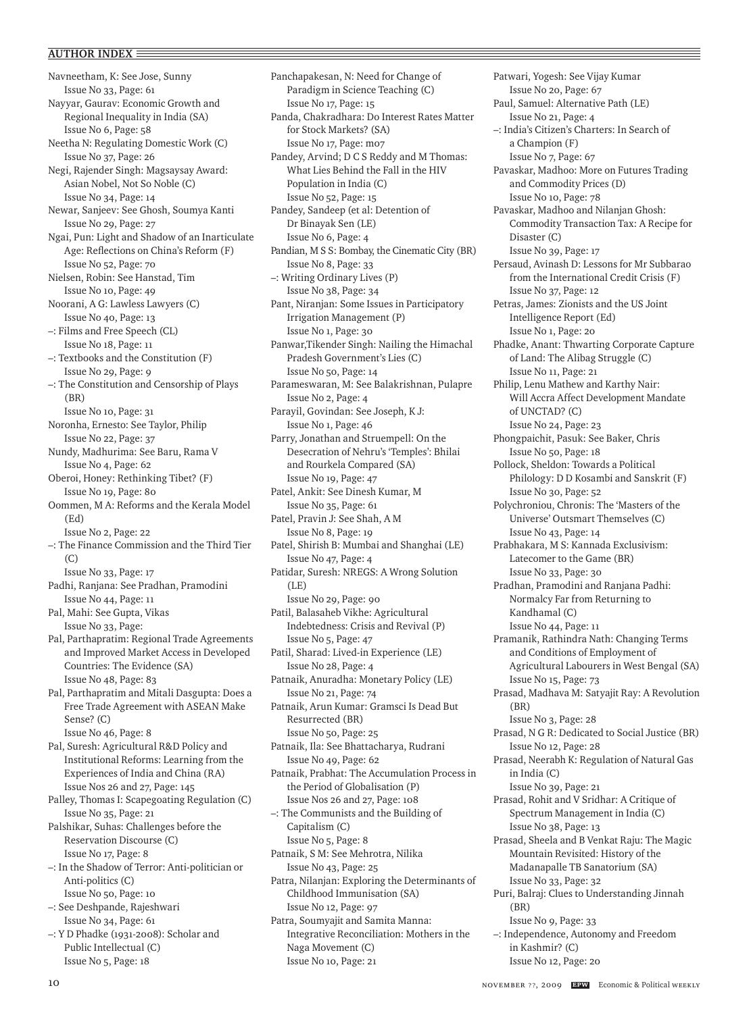Navneetham, K: See Jose, Sunny Issue No 33, Page: 61 Nayyar, Gaurav: Economic Growth and Regional Inequality in India (SA) Issue No 6, Page: 58 Neetha N: Regulating Domestic Work (C) Issue No 37, Page: 26 Negi, Rajender Singh: Magsaysay Award: Asian Nobel, Not So Noble (C) Issue No 34, Page: 14 Newar, Sanjeev: See Ghosh, Soumya Kanti Issue No 29, Page: 27 Ngai, Pun: Light and Shadow of an Inarticulate Age: Reflections on China's Reform (F) Issue No 52, Page: 70 Nielsen, Robin: See Hanstad, Tim Issue No 10, Page: 49 Noorani, A G: Lawless Lawyers (C) Issue No 40, Page: 13 –: Films and Free Speech (CL) Issue No 18, Page: 11 –: Textbooks and the Constitution (F) Issue No 29, Page: 9 –: The Constitution and Censorship of Plays (BR) Issue No 10, Page: 31 Noronha, Ernesto: See Taylor, Philip Issue No 22, Page: 37 Nundy, Madhurima: See Baru, Rama V Issue No 4, Page: 62 Oberoi, Honey: Rethinking Tibet? (F) Issue No 19, Page: 80 Oommen, M A: Reforms and the Kerala Model (Ed) Issue No 2, Page: 22 –: The Finance Commission and the Third Tier (C) Issue No 33, Page: 17 Padhi, Ranjana: See Pradhan, Pramodini Issue No 44, Page: 11 Pal, Mahi: See Gupta, Vikas Issue No 33, Page: Pal, Parthapratim: Regional Trade Agreements and Improved Market Access in Developed Countries: The Evidence (SA) Issue No 48, Page: 83 Pal, Parthapratim and Mitali Dasgupta: Does a Free Trade Agreement with ASEAN Make Sense? (C) Issue No 46, Page: 8 Pal, Suresh: Agricultural R&D Policy and Institutional Reforms: Learning from the Experiences of India and China (RA) Issue Nos 26 and 27, Page: 145 Palley, Thomas I: Scapegoating Regulation (C) Issue No 35, Page: 21 Palshikar, Suhas: Challenges before the Reservation Discourse (C) Issue No 17, Page: 8 –: In the Shadow of Terror: Anti-politician or Anti-politics (C) Issue No 50, Page: 10 –: See Deshpande, Rajeshwari Issue No 34, Page: 61 –: Y D Phadke (1931-2008): Scholar and Public Intellectual (C)

Panchapakesan, N: Need for Change of Paradigm in Science Teaching (C) Issue No 17, Page: 15 Panda, Chakradhara: Do Interest Rates Matter for Stock Markets? (SA) Issue No 17, Page: m07 Pandey, Arvind; D C S Reddy and M Thomas: What Lies Behind the Fall in the HIV Population in India (C) Issue No 52, Page: 15 Pandey, Sandeep (et al: Detention of Dr Binayak Sen (LE) Issue No 6, Page: 4 Pandian, M S S: Bombay, the Cinematic City (BR) Issue No 8, Page: 33 –: Writing Ordinary Lives (P) Issue No 38, Page: 34 Pant, Niranjan: Some Issues in Participatory Irrigation Management (P) Issue No 1, Page: 30 Panwar,Tikender Singh: Nailing the Himachal Pradesh Government's Lies (C) Issue No 50, Page: 14 Parameswaran, M: See Balakrishnan, Pulapre Issue No 2, Page: 4 Parayil, Govindan: See Joseph, K J: Issue No 1, Page: 46 Parry, Jonathan and Struempell: On the Desecration of Nehru's 'Temples': Bhilai and Rourkela Compared (SA) Issue No 19, Page: 47 Patel, Ankit: See Dinesh Kumar, M Issue No 35, Page: 61 Patel, Pravin J: See Shah, A M Issue No 8, Page: 19 Patel, Shirish B: Mumbai and Shanghai (LE) Issue No 47, Page: 4 Patidar, Suresh: NREGS: A Wrong Solution  $(LE)$ Issue No 29, Page: 90 Patil, Balasaheb Vikhe: Agricultural Indebtedness: Crisis and Revival (P) Issue No 5, Page: 47 Patil, Sharad: Lived-in Experience (LE) Issue No 28, Page: 4 Patnaik, Anuradha: Monetary Policy (LE) Issue No 21, Page: 74 Patnaik, Arun Kumar: Gramsci Is Dead But Resurrected (BR) Issue No 50, Page: 25 Patnaik, Ila: See Bhattacharya, Rudrani Issue No 49, Page: 62 Patnaik, Prabhat: The Accumulation Process in the Period of Globalisation (P) Issue Nos 26 and 27, Page: 108 –: The Communists and the Building of Capitalism (C) Issue No 5, Page: 8 Patnaik, S M: See Mehrotra, Nilika Issue No 43, Page: 25 Patra, Nilanjan: Exploring the Determinants of Childhood Immunisation (SA) Issue No 12, Page: 97 Patra, Soumyajit and Samita Manna: Integrative Reconciliation: Mothers in the Naga Movement (C)

Issue No 10, Page: 21

Patwari, Yogesh: See Vijay Kumar Issue No 20, Page: 67 Paul, Samuel: Alternative Path (LE) Issue No 21, Page: 4 –: India's Citizen's Charters: In Search of a Champion (F) Issue No 7, Page: 67 Pavaskar, Madhoo: More on Futures Trading and Commodity Prices (D) Issue No 10, Page: 78 Pavaskar, Madhoo and Nilanjan Ghosh: Commodity Transaction Tax: A Recipe for Disaster (C) Issue No 39, Page: 17 Persaud, Avinash D: Lessons for Mr Subbarao from the International Credit Crisis (F) Issue No 37, Page: 12 Petras, James: Zionists and the US Joint Intelligence Report (Ed) Issue No 1, Page: 20 Phadke, Anant: Thwarting Corporate Capture of Land: The Alibag Struggle (C) Issue No 11, Page: 21 Philip, Lenu Mathew and Karthy Nair: Will Accra Affect Development Mandate of UNCTAD? (C) Issue No 24, Page: 23 Phongpaichit, Pasuk: See Baker, Chris Issue No 50, Page: 18 Pollock, Sheldon: Towards a Political Philology: D D Kosambi and Sanskrit (F) Issue No 30, Page: 52 Polychroniou, Chronis: The 'Masters of the Universe' Outsmart Themselves (C) Issue No 43, Page: 14 Prabhakara, M S: Kannada Exclusivism: Latecomer to the Game (BR) Issue No 33, Page: 30 Pradhan, Pramodini and Ranjana Padhi: Normalcy Far from Returning to Kandhamal (C) Issue No 44, Page: 11 Pramanik, Rathindra Nath: Changing Terms and Conditions of Employment of Agricultural Labourers in West Bengal (SA) Issue No 15, Page: 73 Prasad, Madhava M: Satyajit Ray: A Revolution (BR) Issue No 3, Page: 28 Prasad, N G R: Dedicated to Social Justice (BR) Issue No 12, Page: 28 Prasad, Neerabh K: Regulation of Natural Gas in India (C) Issue No 39, Page: 21 Prasad, Rohit and V Sridhar: A Critique of Spectrum Management in India (C) Issue No 38, Page: 13 Prasad, Sheela and B Venkat Raju: The Magic Mountain Revisited: History of the Madanapalle TB Sanatorium (SA) Issue No 33, Page: 32 Puri, Balraj: Clues to Understanding Jinnah (BR) Issue No 9, Page: 33 –: Independence, Autonomy and Freedom in Kashmir? (C) Issue No 12, Page: 20

Issue No 5, Page: 18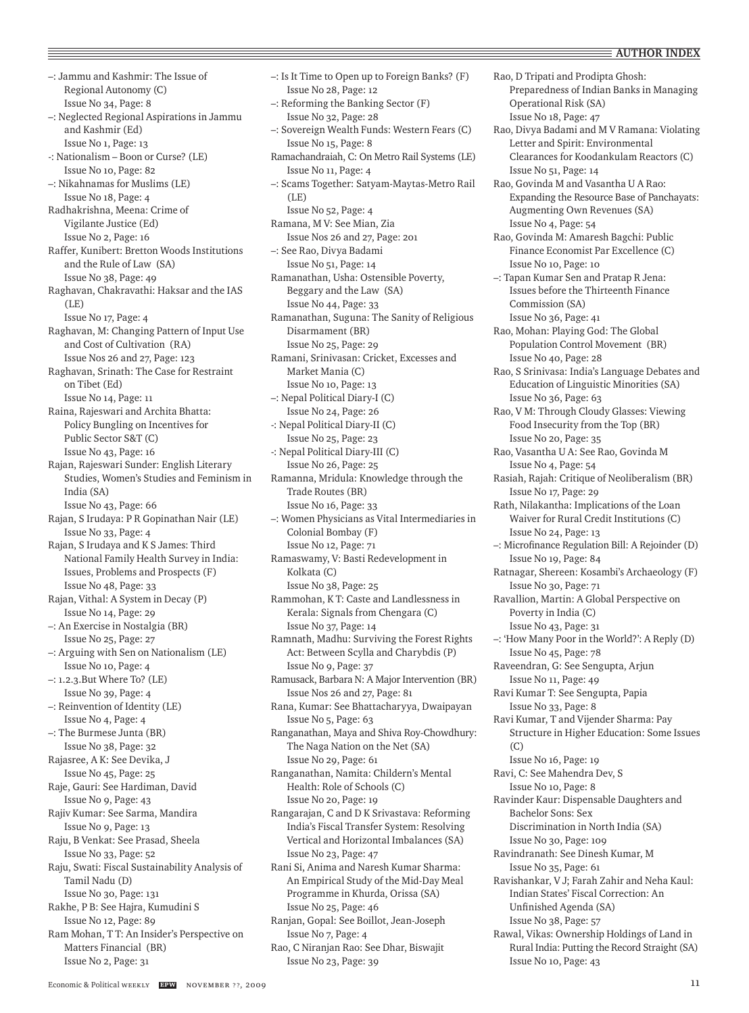–: Jammu and Kashmir: The Issue of Regional Autonomy (C) Issue No 34, Page: 8 –: Neglected Regional Aspirations in Jammu and Kashmir (Ed) Issue No 1, Page: 13 -: Nationalism – Boon or Curse? (LE) Issue No 10, Page: 82 –: Nikahnamas for Muslims (LE) Issue No 18, Page: 4 Radhakrishna, Meena: Crime of Vigilante Justice (Ed) Issue No 2, Page: 16 Raffer, Kunibert: Bretton Woods Institutions and the Rule of Law (SA) Issue No 38, Page: 49 Raghavan, Chakravathi: Haksar and the IAS  $(I.F)$ Issue No 17, Page: 4 Raghavan, M: Changing Pattern of Input Use and Cost of Cultivation (RA) Issue Nos 26 and 27, Page: 123 Raghavan, Srinath: The Case for Restraint on Tibet (Ed) Issue No 14, Page: 11 Raina, Rajeswari and Archita Bhatta: Policy Bungling on Incentives for Public Sector S&T (C) Issue No 43, Page: 16 Rajan, Rajeswari Sunder: English Literary Studies, Women's Studies and Feminism in India (SA) Issue No 43, Page: 66 Rajan, S Irudaya: P R Gopinathan Nair (LE) Issue No 33, Page: 4 Rajan, S Irudaya and K S James: Third National Family Health Survey in India: Issues, Problems and Prospects (F) Issue No 48, Page: 33 Rajan, Vithal: A System in Decay (P) Issue No 14, Page: 29 –: An Exercise in Nostalgia (BR) Issue No 25, Page: 27 –: Arguing with Sen on Nationalism (LE) Issue No 10, Page: 4 –: 1.2.3.But Where To? (LE) Issue No 39, Page: 4 –: Reinvention of Identity (LE) Issue No 4, Page: 4 –: The Burmese Junta (BR) Issue No 38, Page: 32 Rajasree, A K: See Devika, J Issue No 45, Page: 25 Raje, Gauri: See Hardiman, David Issue No 9, Page: 43 Rajiv Kumar: See Sarma, Mandira Issue No 9, Page: 13 Raju, B Venkat: See Prasad, Sheela Issue No 33, Page: 52 Raju, Swati: Fiscal Sustainability Analysis of Tamil Nadu (D) Issue No 30, Page: 131 Rakhe, P B: See Hajra, Kumudini S Issue No 12, Page: 89 Ram Mohan, T T: An Insider's Perspective on Matters Financial (BR) Issue No 2, Page: 31

–: Is It Time to Open up to Foreign Banks? (F) Issue No 28, Page: 12 –: Reforming the Banking Sector (F) Issue No 32, Page: 28 –: Sovereign Wealth Funds: Western Fears (C) Issue No 15, Page: 8 Ramachandraiah, C: On Metro Rail Systems (LE) Issue No 11, Page: 4 –: Scams Together: Satyam-Maytas-Metro Rail  $(I.E)$ Issue No 52, Page: 4 Ramana, M V: See Mian, Zia Issue Nos 26 and 27, Page: 201 –: See Rao, Divya Badami Issue No 51, Page: 14 Ramanathan, Usha: Ostensible Poverty, Beggary and the Law (SA) Issue No 44, Page: 33 Ramanathan, Suguna: The Sanity of Religious Disarmament (BR) Issue No 25, Page: 29 Ramani, Srinivasan: Cricket, Excesses and Market Mania (C) Issue No 10, Page: 13 –: Nepal Political Diary-I (C) Issue No 24, Page: 26 -: Nepal Political Diary-II (C) Issue No 25, Page: 23 -: Nepal Political Diary-III (C) Issue No 26, Page: 25 Ramanna, Mridula: Knowledge through the Trade Routes (BR) Issue No 16, Page: 33 –: Women Physicians as Vital Intermediaries in Colonial Bombay (F) Issue No 12, Page: 71 Ramaswamy, V: Basti Redevelopment in Kolkata (C) Issue No 38, Page: 25 Rammohan, K T: Caste and Landlessness in Kerala: Signals from Chengara (C) Issue No 37, Page: 14 Ramnath, Madhu: Surviving the Forest Rights Act: Between Scylla and Charybdis (P) Issue No 9, Page: 37 Ramusack, Barbara N: A Major Intervention (BR) Issue Nos 26 and 27, Page: 81 Rana, Kumar: See Bhattacharyya, Dwaipayan Issue No 5, Page: 63 Ranganathan, Maya and Shiva Roy-Chowdhury: The Naga Nation on the Net (SA) Issue No 29, Page: 61 Ranganathan, Namita: Childern's Mental Health: Role of Schools (C) Issue No 20, Page: 19 Rangarajan, C and D K Srivastava: Reforming India's Fiscal Transfer System: Resolving Vertical and Horizontal Imbalances (SA) Issue No 23, Page: 47 Rani Si, Anima and Naresh Kumar Sharma: An Empirical Study of the Mid-Day Meal Programme in Khurda, Orissa (SA) Issue No 25, Page: 46 Ranjan, Gopal: See Boillot, Jean-Joseph Issue No 7, Page: 4 Rao, C Niranjan Rao: See Dhar, Biswajit Issue No 23, Page: 39

Rao, D Tripati and Prodipta Ghosh: Preparedness of Indian Banks in Managing Operational Risk (SA) Issue No 18, Page: 47 Rao, Divya Badami and M V Ramana: Violating Letter and Spirit: Environmental Clearances for Koodankulam Reactors (C) Issue No 51, Page: 14 Rao, Govinda M and Vasantha U A Rao: Expanding the Resource Base of Panchayats: Augmenting Own Revenues (SA) Issue No 4, Page: 54 Rao, Govinda M: Amaresh Bagchi: Public Finance Economist Par Excellence (C) Issue No 10, Page: 10 –: Tapan Kumar Sen and Pratap R Jena: Issues before the Thirteenth Finance Commission (SA) Issue No 36, Page: 41 Rao, Mohan: Playing God: The Global Population Control Movement (BR) Issue No 40, Page: 28 Rao, S Srinivasa: India's Language Debates and Education of Linguistic Minorities (SA) Issue No 36, Page: 63 Rao, V M: Through Cloudy Glasses: Viewing Food Insecurity from the Top (BR) Issue No 20, Page: 35 Rao, Vasantha U A: See Rao, Govinda M Issue No 4, Page: 54 Rasiah, Rajah: Critique of Neoliberalism (BR) Issue No 17, Page: 29 Rath, Nilakantha: Implications of the Loan Waiver for Rural Credit Institutions (C) Issue No 24, Page: 13 –: Microfinance Regulation Bill: A Rejoinder (D) Issue No 19, Page: 84 Ratnagar, Shereen: Kosambi's Archaeology (F) Issue No 30, Page: 71 Ravallion, Martin: A Global Perspective on Poverty in India (C) Issue No 43, Page: 31 –: 'How Many Poor in the World?': A Reply (D) Issue No 45, Page: 78 Raveendran, G: See Sengupta, Arjun Issue No 11, Page: 49 Ravi Kumar T: See Sengupta, Papia Issue No 33, Page: 8 Ravi Kumar, T and Vijender Sharma: Pay Structure in Higher Education: Some Issues  $(C)$ Issue No 16, Page: 19 Ravi, C: See Mahendra Dev, S Issue No 10, Page: 8 Ravinder Kaur: Dispensable Daughters and Bachelor Sons: Sex Discrimination in North India (SA) Issue No 30, Page: 109 Ravindranath: See Dinesh Kumar, M Issue No 35, Page: 61 Ravishankar, V J; Farah Zahir and Neha Kaul: Indian States' Fiscal Correction: An Unfinished Agenda (SA) Issue No 38, Page: 57 Rawal, Vikas: Ownership Holdings of Land in Rural India: Putting the Record Straight (SA) Issue No 10, Page: 43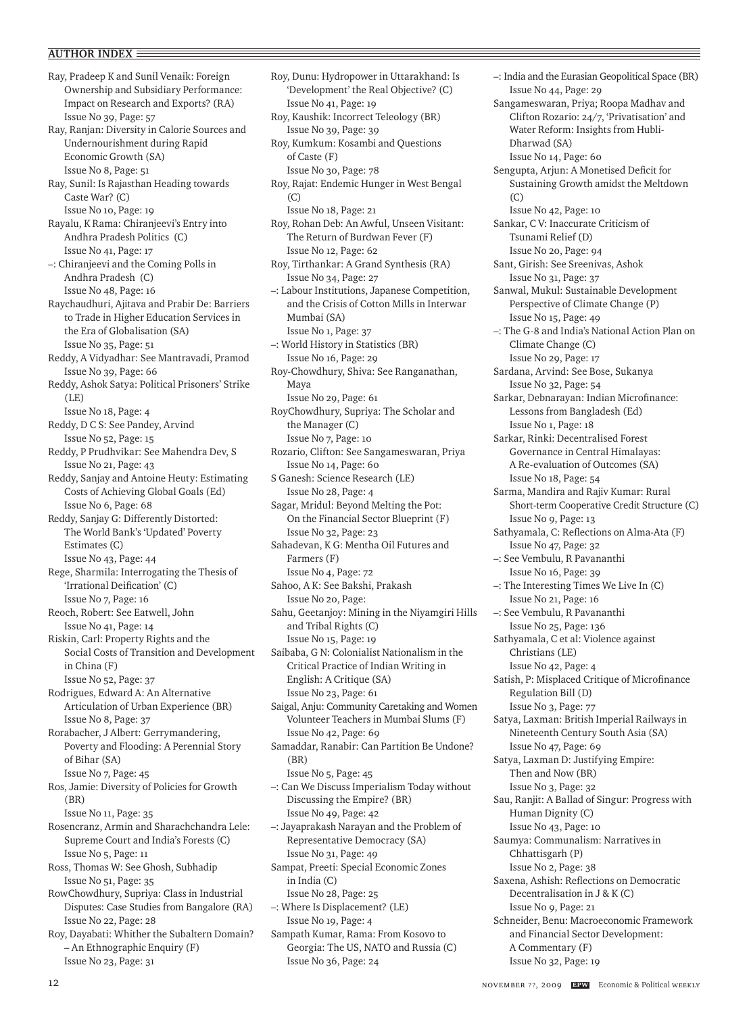Ray, Pradeep K and Sunil Venaik: Foreign Ownership and Subsidiary Performance: Impact on Research and Exports? (RA) Issue No 39, Page: 57 Ray, Ranjan: Diversity in Calorie Sources and Undernourishment during Rapid Economic Growth (SA) Issue No 8, Page: 51 Ray, Sunil: Is Rajasthan Heading towards Caste War? (C) Issue No 10, Page: 19 Rayalu, K Rama: Chiranjeevi's Entry into Andhra Pradesh Politics (C) Issue No 41, Page: 17 –: Chiranjeevi and the Coming Polls in Andhra Pradesh (C) Issue No 48, Page: 16 Raychaudhuri, Ajitava and Prabir De: Barriers to Trade in Higher Education Services in the Era of Globalisation (SA) Issue No 35, Page: 51 Reddy, A Vidyadhar: See Mantravadi, Pramod Issue No 39, Page: 66 Reddy, Ashok Satya: Political Prisoners' Strike  $(I.E)$ Issue No 18, Page: 4 Reddy, D C S: See Pandey, Arvind Issue No 52, Page: 15 Reddy, P Prudhvikar: See Mahendra Dev, S Issue No 21, Page: 43 Reddy, Sanjay and Antoine Heuty: Estimating Costs of Achieving Global Goals (Ed) Issue No 6, Page: 68 Reddy, Sanjay G: Differently Distorted: The World Bank's 'Updated' Poverty Estimates (C) Issue No 43, Page: 44 Rege, Sharmila: Interrogating the Thesis of 'Irrational Deification' (C) Issue No 7, Page: 16 Reoch, Robert: See Eatwell, John Issue No 41, Page: 14 Riskin, Carl: Property Rights and the Social Costs of Transition and Development in China (F) Issue No 52, Page: 37 Rodrigues, Edward A: An Alternative Articulation of Urban Experience (BR) Issue No 8, Page: 37 Rorabacher, J Albert: Gerrymandering, Poverty and Flooding: A Perennial Story of Bihar (SA) Issue No 7, Page: 45 Ros, Jamie: Diversity of Policies for Growth (BR) Issue No 11, Page: 35 Rosencranz, Armin and Sharachchandra Lele: Supreme Court and India's Forests (C) Issue No 5, Page: 11 Ross, Thomas W: See Ghosh, Subhadip Issue No 51, Page: 35 RowChowdhury, Supriya: Class in Industrial Disputes: Case Studies from Bangalore (RA) Issue No 22, Page: 28 Roy, Dayabati: Whither the Subaltern Domain? – An Ethnographic Enquiry (F)

Issue No 12, Page: 62 Roy, Tirthankar: A Grand Synthesis (RA) Issue No 34, Page: 27 –: Labour Institutions, Japanese Competition, and the Crisis of Cotton Mills in Interwar Mumbai (SA) Issue No 1, Page: 37 –: World History in Statistics (BR) Issue No 16, Page: 29 Roy-Chowdhury, Shiva: See Ranganathan, Maya Issue No 29, Page: 61 RoyChowdhury, Supriya: The Scholar and the Manager (C) Issue No 7, Page: 10 Rozario, Clifton: See Sangameswaran, Priya Issue No 14, Page: 60 S Ganesh: Science Research (LE) Issue No 28, Page: 4 Sagar, Mridul: Beyond Melting the Pot: On the Financial Sector Blueprint (F) Issue No 32, Page: 23 Sahadevan, K G: Mentha Oil Futures and Farmers (F) Issue No 4, Page: 72 Sahoo, A K: See Bakshi, Prakash Issue No 20, Page: Sahu, Geetanjoy: Mining in the Niyamgiri Hills and Tribal Rights (C) Issue No 15, Page: 19 Saibaba, G N: Colonialist Nationalism in the Critical Practice of Indian Writing in English: A Critique (SA) Issue No 23, Page: 61 Saigal, Anju: Community Caretaking and Women Volunteer Teachers in Mumbai Slums (F) Issue No 42, Page: 69 Samaddar, Ranabir: Can Partition Be Undone? (BR) Issue No 5, Page: 45 –: Can We Discuss Imperialism Today without Discussing the Empire? (BR) Issue No 49, Page: 42 –: Jayaprakash Narayan and the Problem of Representative Democracy (SA) Issue No 31, Page: 49 Sampat, Preeti: Special Economic Zones in India (C) Issue No 28, Page: 25 –: Where Is Displacement? (LE) Issue No 19, Page: 4 Sampath Kumar, Rama: From Kosovo to Georgia: The US, NATO and Russia (C) Issue No 36, Page: 24

Roy, Dunu: Hydropower in Uttarakhand: Is 'Development' the Real Objective? (C)

Roy, Rajat: Endemic Hunger in West Bengal

Roy, Rohan Deb: An Awful, Unseen Visitant: The Return of Burdwan Fever (F)

Roy, Kaushik: Incorrect Teleology (BR) Issue No 39, Page: 39 Roy, Kumkum: Kosambi and Questions

Issue No 41, Page: 19

Issue No 18, Page: 21

of Caste (F) Issue No 30, Page: 78

(C)

–: India and the Eurasian Geopolitical Space (BR) Issue No 44, Page: 29 Sangameswaran, Priya; Roopa Madhav and Clifton Rozario: 24/7, 'Privatisation' and Water Reform: Insights from Hubli-Dharwad (SA) Issue No 14, Page: 60 Sengupta, Arjun: A Monetised Deficit for Sustaining Growth amidst the Meltdown (C) Issue No 42, Page: 10 Sankar, C V: Inaccurate Criticism of Tsunami Relief (D) Issue No 20, Page: 94 Sant, Girish: See Sreenivas, Ashok Issue No 31, Page: 37 Sanwal, Mukul: Sustainable Development Perspective of Climate Change (P) Issue No 15, Page: 49 –: The G-8 and India's National Action Plan on Climate Change (C) Issue No 29, Page: 17 Sardana, Arvind: See Bose, Sukanya Issue No 32, Page: 54 Sarkar, Debnarayan: Indian Microfinance: Lessons from Bangladesh (Ed) Issue No 1, Page: 18 Sarkar, Rinki: Decentralised Forest Governance in Central Himalayas: A Re-evaluation of Outcomes (SA) Issue No 18, Page: 54 Sarma, Mandira and Rajiv Kumar: Rural Short-term Cooperative Credit Structure (C) Issue No 9, Page: 13 Sathyamala, C: Reflections on Alma-Ata (F) Issue No 47, Page: 32 –: See Vembulu, R Pavananthi Issue No 16, Page: 39 –: The Interesting Times We Live In (C) Issue No 21, Page: 16 –: See Vembulu, R Pavananthi Issue No 25, Page: 136 Sathyamala, C et al: Violence against Christians (LE) Issue No 42, Page: 4 Satish, P: Misplaced Critique of Microfinance Regulation Bill (D) Issue No 3, Page: 77 Satya, Laxman: British Imperial Railways in Nineteenth Century South Asia (SA) Issue No 47, Page: 69 Satya, Laxman D: Justifying Empire: Then and Now (BR) Issue No 3, Page: 32 Sau, Ranjit: A Ballad of Singur: Progress with Human Dignity (C) Issue No 43, Page: 10 Saumya: Communalism: Narratives in Chhattisgarh (P) Issue No 2, Page: 38 Saxena, Ashish: Reflections on Democratic Decentralisation in J & K (C) Issue No 9, Page: 21 Schneider, Benu: Macroeconomic Framework and Financial Sector Development: A Commentary (F) Issue No 32, Page: 19

Issue No 23, Page: 31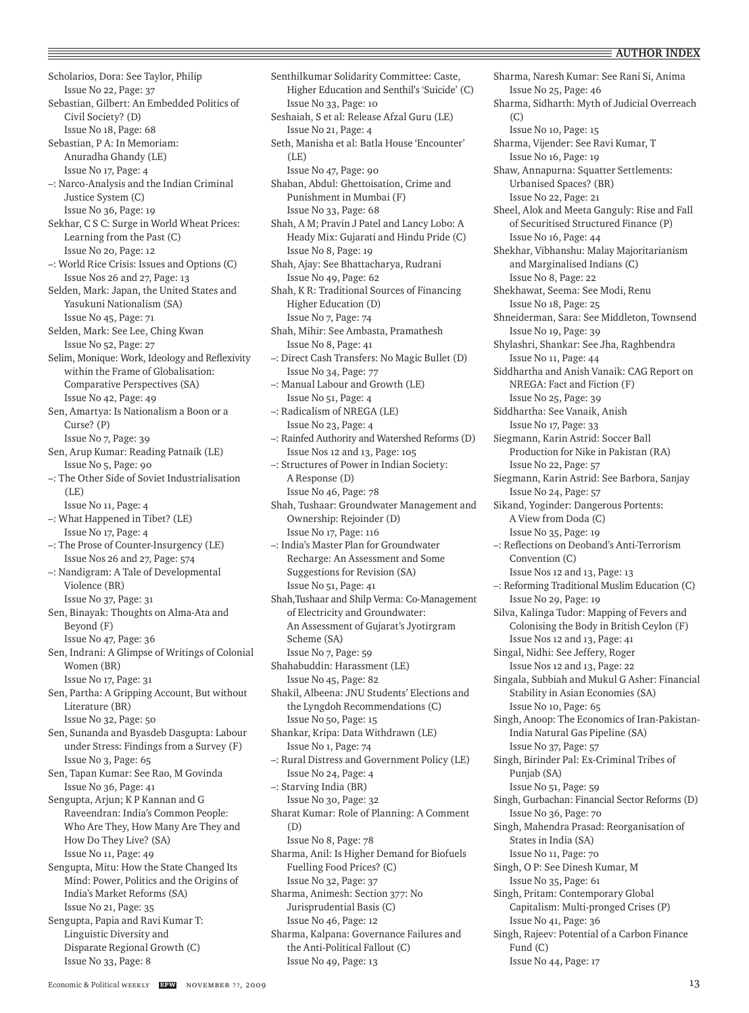Scholarios, Dora: See Taylor, Philip Issue No 22, Page: 37 Sebastian, Gilbert: An Embedded Politics of Civil Society? (D) Issue No 18, Page: 68 Sebastian, P A: In Memoriam: Anuradha Ghandy (LE) Issue No 17, Page: 4 –: Narco-Analysis and the Indian Criminal Justice System (C) Issue No 36, Page: 19 Sekhar, C S C: Surge in World Wheat Prices: Learning from the Past (C) Issue No 20, Page: 12 –: World Rice Crisis: Issues and Options (C) Issue Nos 26 and 27, Page: 13 Selden, Mark: Japan, the United States and Yasukuni Nationalism (SA) Issue No 45, Page: 71 Selden, Mark: See Lee, Ching Kwan Issue No 52, Page: 27 Selim, Monique: Work, Ideology and Reflexivity within the Frame of Globalisation: Comparative Perspectives (SA) Issue No 42, Page: 49 Sen, Amartya: Is Nationalism a Boon or a Curse? (P) Issue No 7, Page: 39 Sen, Arup Kumar: Reading Patnaik (LE) Issue No 5, Page: 90 –: The Other Side of Soviet Industrialisation (LE) Issue No 11, Page: 4 –: What Happened in Tibet? (LE) Issue No 17, Page: 4 –: The Prose of Counter-Insurgency (LE) Issue Nos 26 and 27, Page: 574 –: Nandigram: A Tale of Developmental Violence (BR) Issue No 37, Page: 31 Sen, Binayak: Thoughts on Alma-Ata and Beyond (F) Issue No 47, Page: 36 Sen, Indrani: A Glimpse of Writings of Colonial Women (BR) Issue No 17, Page: 31 Sen, Partha: A Gripping Account, But without Literature (BR) Issue No 32, Page: 50 Sen, Sunanda and Byasdeb Dasgupta: Labour under Stress: Findings from a Survey (F) Issue No 3, Page: 65 Sen, Tapan Kumar: See Rao, M Govinda Issue No 36, Page: 41 Sengupta, Arjun; K P Kannan and G Raveendran: India's Common People: Who Are They, How Many Are They and How Do They Live? (SA) Issue No 11, Page: 49 Sengupta, Mitu: How the State Changed Its Mind: Power, Politics and the Origins of India's Market Reforms (SA) Issue No 21, Page: 35 Sengupta, Papia and Ravi Kumar T: Linguistic Diversity and Disparate Regional Growth (C) Issue No 33, Page: 8

Senthilkumar Solidarity Committee: Caste, Higher Education and Senthil's 'Suicide' (C) Issue No 33, Page: 10 Seshaiah, S et al: Release Afzal Guru (LE) Issue No 21, Page: 4 Seth, Manisha et al: Batla House 'Encounter'  $(I.E)$ Issue No 47, Page: 90 Shaban, Abdul: Ghettoisation, Crime and Punishment in Mumbai (F) Issue No 33, Page: 68 Shah, A M; Pravin J Patel and Lancy Lobo: A Heady Mix: Gujarati and Hindu Pride (C) Issue No 8, Page: 19 Shah, Ajay: See Bhattacharya, Rudrani Issue No 49, Page: 62 Shah, K R: Traditional Sources of Financing Higher Education (D) Issue No 7, Page: 74 Shah, Mihir: See Ambasta, Pramathesh Issue No 8, Page: 41 –: Direct Cash Transfers: No Magic Bullet (D) Issue No 34, Page: 77 –: Manual Labour and Growth (LE) Issue No 51, Page: 4 –: Radicalism of NREGA (LE) Issue No 23, Page: 4 –: Rainfed Authority and Watershed Reforms (D) Issue Nos 12 and 13, Page: 105 –: Structures of Power in Indian Society: A Response (D) Issue No 46, Page: 78 Shah, Tushaar: Groundwater Management and Ownership: Rejoinder (D) Issue No 17, Page: 116 –: India's Master Plan for Groundwater Recharge: An Assessment and Some Suggestions for Revision (SA) Issue No 51, Page: 41 Shah,Tushaar and Shilp Verma: Co-Management of Electricity and Groundwater: An Assessment of Gujarat's Jyotirgram Scheme (SA) Issue No 7, Page: 59 Shahabuddin: Harassment (LE) Issue No 45, Page: 82 Shakil, Albeena: JNU Students' Elections and the Lyngdoh Recommendations (C) Issue No 50, Page: 15 Shankar, Kripa: Data Withdrawn (LE) Issue No 1, Page: 74 –: Rural Distress and Government Policy (LE) Issue No 24, Page: 4 –: Starving India (BR) Issue No 30, Page: 32 Sharat Kumar: Role of Planning: A Comment (D) Issue No 8, Page: 78 Sharma, Anil: Is Higher Demand for Biofuels Fuelling Food Prices? (C) Issue No 32, Page: 37 Sharma, Animesh: Section 377: No Jurisprudential Basis (C) Issue No 46, Page: 12 Sharma, Kalpana: Governance Failures and the Anti-Political Fallout (C) Issue No 49, Page: 13

Sharma, Naresh Kumar: See Rani Si, Anima Issue No 25, Page: 46 Sharma, Sidharth: Myth of Judicial Overreach (C) Issue No 10, Page: 15 Sharma, Vijender: See Ravi Kumar, T Issue No 16, Page: 19 Shaw, Annapurna: Squatter Settlements: Urbanised Spaces? (BR) Issue No 22, Page: 21 Sheel, Alok and Meeta Ganguly: Rise and Fall of Securitised Structured Finance (P) Issue No 16, Page: 44 Shekhar, Vibhanshu: Malay Majoritarianism and Marginalised Indians (C) Issue No 8, Page: 22 Shekhawat, Seema: See Modi, Renu Issue No 18, Page: 25 Shneiderman, Sara: See Middleton, Townsend Issue No 19, Page: 39 Shylashri, Shankar: See Jha, Raghbendra Issue No 11, Page: 44 Siddhartha and Anish Vanaik: CAG Report on NREGA: Fact and Fiction (F) Issue No 25, Page: 39 Siddhartha: See Vanaik, Anish Issue No 17, Page: 33 Siegmann, Karin Astrid: Soccer Ball Production for Nike in Pakistan (RA) Issue No 22, Page: 57 Siegmann, Karin Astrid: See Barbora, Sanjay Issue No 24, Page: 57 Sikand, Yoginder: Dangerous Portents: A View from Doda (C) Issue No 35, Page: 19 –: Reflections on Deoband's Anti-Terrorism Convention (C) Issue Nos 12 and 13, Page: 13 –: Reforming Traditional Muslim Education (C) Issue No 29, Page: 19 Silva, Kalinga Tudor: Mapping of Fevers and Colonising the Body in British Ceylon (F) Issue Nos 12 and 13, Page: 41 Singal, Nidhi: See Jeffery, Roger Issue Nos 12 and 13, Page: 22 Singala, Subbiah and Mukul G Asher: Financial Stability in Asian Economies (SA) Issue No 10, Page: 65 Singh, Anoop: The Economics of Iran-Pakistan-India Natural Gas Pipeline (SA) Issue No 37, Page: 57 Singh, Birinder Pal: Ex-Criminal Tribes of Punjab (SA) Issue No 51, Page: 59 Singh, Gurbachan: Financial Sector Reforms (D) Issue No 36, Page: 70 Singh, Mahendra Prasad: Reorganisation of States in India (SA) Issue No 11, Page: 70 Singh, O P: See Dinesh Kumar, M Issue No 35, Page: 61 Singh, Pritam: Contemporary Global Capitalism: Multi-pronged Crises (P) Issue No 41, Page: 36 Singh, Rajeev: Potential of a Carbon Finance Fund (C) Issue No 44, Page: 17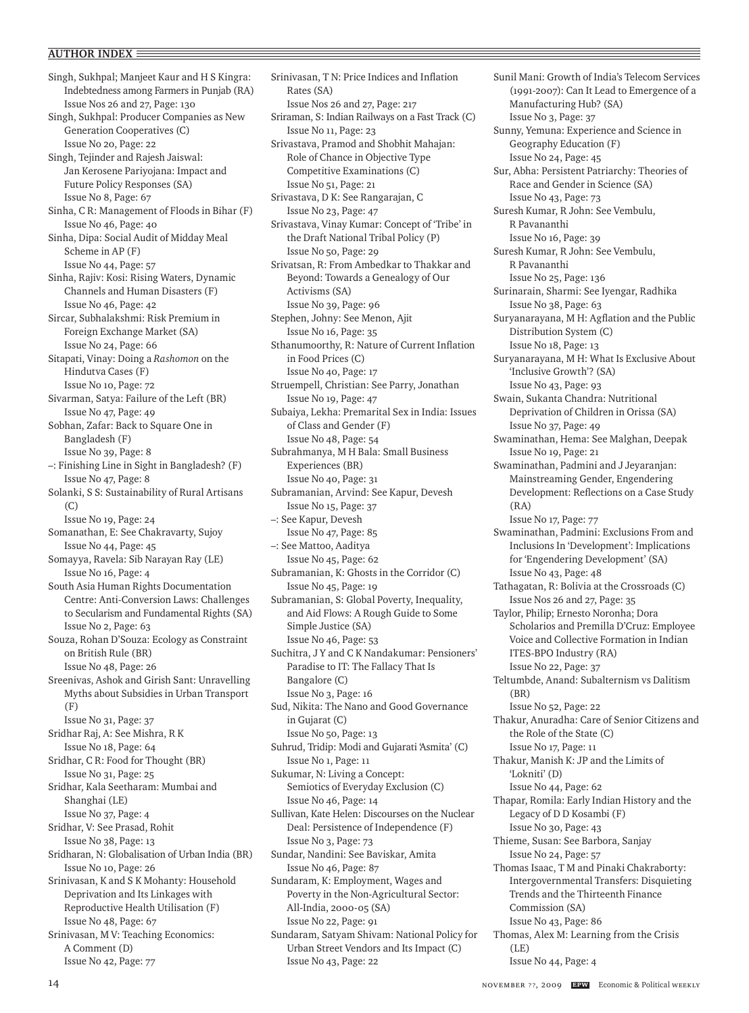Singh, Sukhpal; Manjeet Kaur and H S Kingra: Indebtedness among Farmers in Punjab (RA) Issue Nos 26 and 27, Page: 130 Singh, Sukhpal: Producer Companies as New Generation Cooperatives (C) Issue No 20, Page: 22 Singh, Tejinder and Rajesh Jaiswal: Jan Kerosene Pariyojana: Impact and Future Policy Responses (SA) Issue No 8, Page: 67 Sinha, C R: Management of Floods in Bihar (F) Issue No 46, Page: 40 Sinha, Dipa: Social Audit of Midday Meal Scheme in AP (F) Issue No 44, Page: 57 Sinha, Rajiv: Kosi: Rising Waters, Dynamic Channels and Human Disasters (F) Issue No 46, Page: 42 Sircar, Subhalakshmi: Risk Premium in Foreign Exchange Market (SA) Issue No 24, Page: 66 Sitapati, Vinay: Doing a *Rashomon* on the Hindutva Cases (F) Issue No 10, Page: 72 Sivarman, Satya: Failure of the Left (BR) Issue No 47, Page: 49 Sobhan, Zafar: Back to Square One in Bangladesh (F) Issue No 39, Page: 8 –: Finishing Line in Sight in Bangladesh? (F) Issue No 47, Page: 8 Solanki, S S: Sustainability of Rural Artisans (C) Issue No 19, Page: 24 Somanathan, E: See Chakravarty, Sujoy Issue No 44, Page: 45 Somayya, Ravela: Sib Narayan Ray (LE) Issue No 16, Page: 4 South Asia Human Rights Documentation Centre: Anti-Conversion Laws: Challenges to Secularism and Fundamental Rights (SA) Issue No 2, Page: 63 Souza, Rohan D'Souza: Ecology as Constraint on British Rule (BR) Issue No 48, Page: 26 Sreenivas, Ashok and Girish Sant: Unravelling Myths about Subsidies in Urban Transport (F) Issue No 31, Page: 37 Sridhar Raj, A: See Mishra, R K Issue No 18, Page: 64 Sridhar, C R: Food for Thought (BR) Issue No 31, Page: 25 Sridhar, Kala Seetharam: Mumbai and Shanghai (LE) Issue No 37, Page: 4 Sridhar, V: See Prasad, Rohit Issue No 38, Page: 13 Sridharan, N: Globalisation of Urban India (BR) Issue No 10, Page: 26 Srinivasan, K and S K Mohanty: Household Deprivation and Its Linkages with Reproductive Health Utilisation (F) Issue No 48, Page: 67 Srinivasan, M V: Teaching Economics: A Comment (D) Issue No 42, Page: 77

Srinivasan, T N: Price Indices and Inflation Rates (SA) Issue Nos 26 and 27, Page: 217 Sriraman, S: Indian Railways on a Fast Track (C) Issue No 11, Page: 23 Srivastava, Pramod and Shobhit Mahajan: Role of Chance in Objective Type Competitive Examinations (C) Issue No 51, Page: 21 Srivastava, D K: See Rangarajan, C Issue No 23, Page: 47 Srivastava, Vinay Kumar: Concept of 'Tribe' in the Draft National Tribal Policy (P) Issue No 50, Page: 29 Srivatsan, R: From Ambedkar to Thakkar and Beyond: Towards a Genealogy of Our Activisms (SA) Issue No 39, Page: 96 Stephen, Johny: See Menon, Ajit Issue No 16, Page: 35 Sthanumoorthy, R: Nature of Current Inflation in Food Prices (C) Issue No 40, Page: 17 Struempell, Christian: See Parry, Jonathan Issue No 19, Page: 47 Subaiya, Lekha: Premarital Sex in India: Issues of Class and Gender (F) Issue No 48, Page: 54 Subrahmanya, M H Bala: Small Business Experiences (BR) Issue No 40, Page: 31 Subramanian, Arvind: See Kapur, Devesh Issue No 15, Page: 37 –: See Kapur, Devesh Issue No 47, Page: 85 –: See Mattoo, Aaditya Issue No 45, Page: 62 Subramanian, K: Ghosts in the Corridor (C) Issue No 45, Page: 19 Subramanian, S: Global Poverty, Inequality, and Aid Flows: A Rough Guide to Some Simple Justice (SA) Issue No 46, Page: 53 Suchitra, J Y and C K Nandakumar: Pensioners' Paradise to IT: The Fallacy That Is Bangalore (C) Issue No 3, Page: 16 Sud, Nikita: The Nano and Good Governance in Gujarat (C) Issue No 50, Page: 13 Suhrud, Tridip: Modi and Gujarati 'Asmita' (C) Issue No 1, Page: 11 Sukumar, N: Living a Concept: Semiotics of Everyday Exclusion (C) Issue No 46, Page: 14 Sullivan, Kate Helen: Discourses on the Nuclear Deal: Persistence of Independence (F) Issue No 3, Page: 73 Sundar, Nandini: See Baviskar, Amita Issue No 46, Page: 87 Sundaram, K: Employment, Wages and Poverty in the Non-Agricultural Sector: All-India, 2000-05 (SA) Issue No 22, Page: 91 Sundaram, Satyam Shivam: National Policy for Urban Street Vendors and Its Impact (C) Issue No 43, Page: 22

Sunil Mani: Growth of India's Telecom Services (1991-2007): Can It Lead to Emergence of a Manufacturing Hub? (SA) Issue No 3, Page: 37 Sunny, Yemuna: Experience and Science in Geography Education (F) Issue No 24, Page: 45 Sur, Abha: Persistent Patriarchy: Theories of Race and Gender in Science (SA) Issue No 43, Page: 73 Suresh Kumar, R John: See Vembulu, R Pavananthi Issue No 16, Page: 39 Suresh Kumar, R John: See Vembulu, R Pavananthi Issue No 25, Page: 136 Surinarain, Sharmi: See Iyengar, Radhika Issue No 38, Page: 63 Suryanarayana, M H: Agflation and the Public Distribution System (C) Issue No 18, Page: 13 Suryanarayana, M H: What Is Exclusive About 'Inclusive Growth'? (SA) Issue No 43, Page: 93 Swain, Sukanta Chandra: Nutritional Deprivation of Children in Orissa (SA) Issue No 37, Page: 49 Swaminathan, Hema: See Malghan, Deepak Issue No 19, Page: 21 Swaminathan, Padmini and J Jeyaranjan: Mainstreaming Gender, Engendering Development: Reflections on a Case Study (RA) Issue No 17, Page: 77 Swaminathan, Padmini: Exclusions From and Inclusions In 'Development': Implications for 'Engendering Development' (SA) Issue No 43, Page: 48 Tathagatan, R: Bolivia at the Crossroads (C) Issue Nos 26 and 27, Page: 35 Taylor, Philip; Ernesto Noronha; Dora Scholarios and Premilla D'Cruz: Employee Voice and Collective Formation in Indian ITES-BPO Industry (RA) Issue No 22, Page: 37 Teltumbde, Anand: Subalternism vs Dalitism (BR) Issue No 52, Page: 22 Thakur, Anuradha: Care of Senior Citizens and the Role of the State (C) Issue No 17, Page: 11 Thakur, Manish K: JP and the Limits of 'Lokniti' (D) Issue No 44, Page: 62 Thapar, Romila: Early Indian History and the Legacy of D D Kosambi (F) Issue No 30, Page: 43 Thieme, Susan: See Barbora, Sanjay Issue No 24, Page: 57 Thomas Isaac, T M and Pinaki Chakraborty: Intergovernmental Transfers: Disquieting Trends and the Thirteenth Finance Commission (SA) Issue No 43, Page: 86 Thomas, Alex M: Learning from the Crisis (LE) Issue No 44, Page: 4